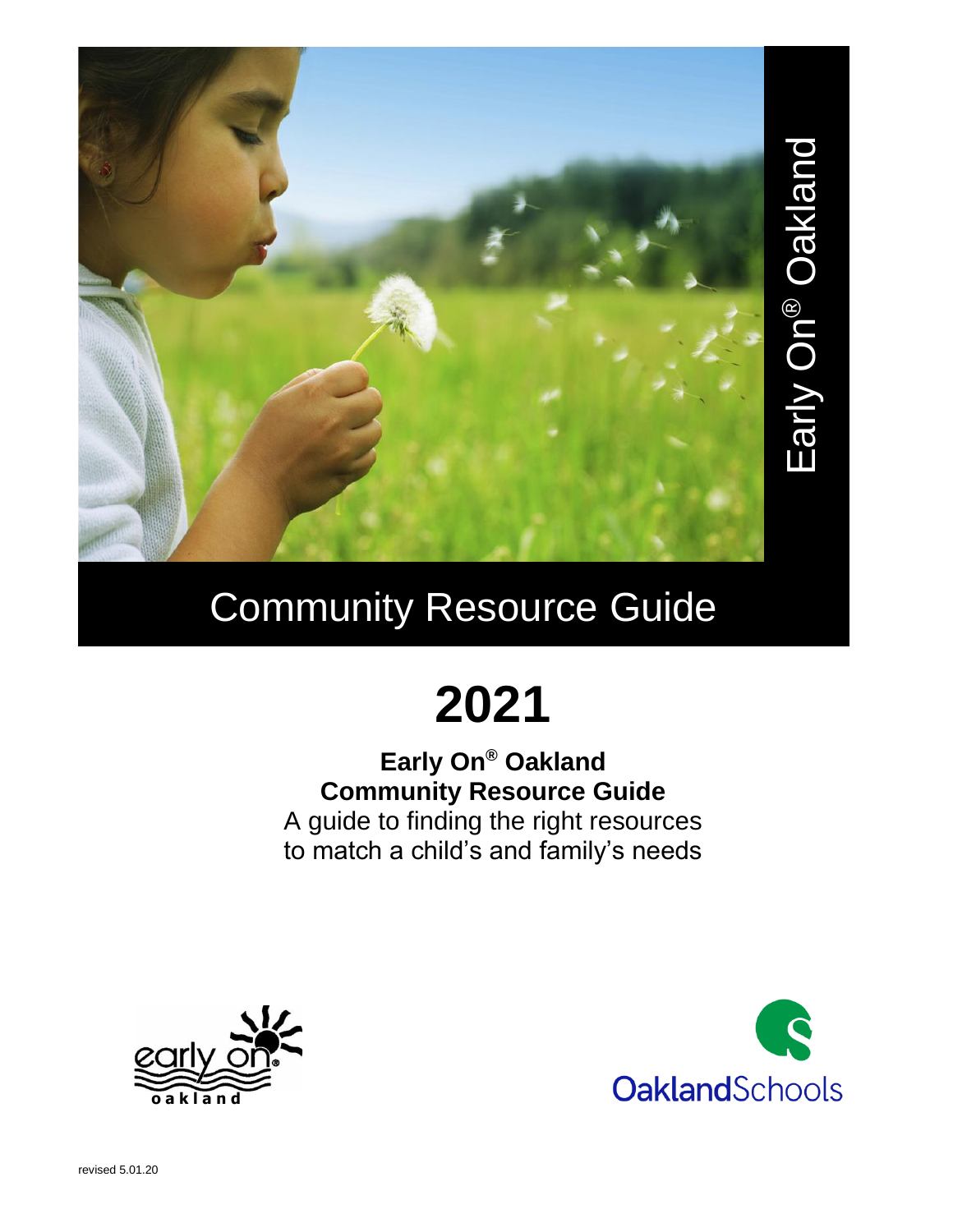

# Community Resource Guide

# **2021**

#### **Early On® Oakland Community Resource Guide** A guide to finding the right resources to match a child's and family's needs



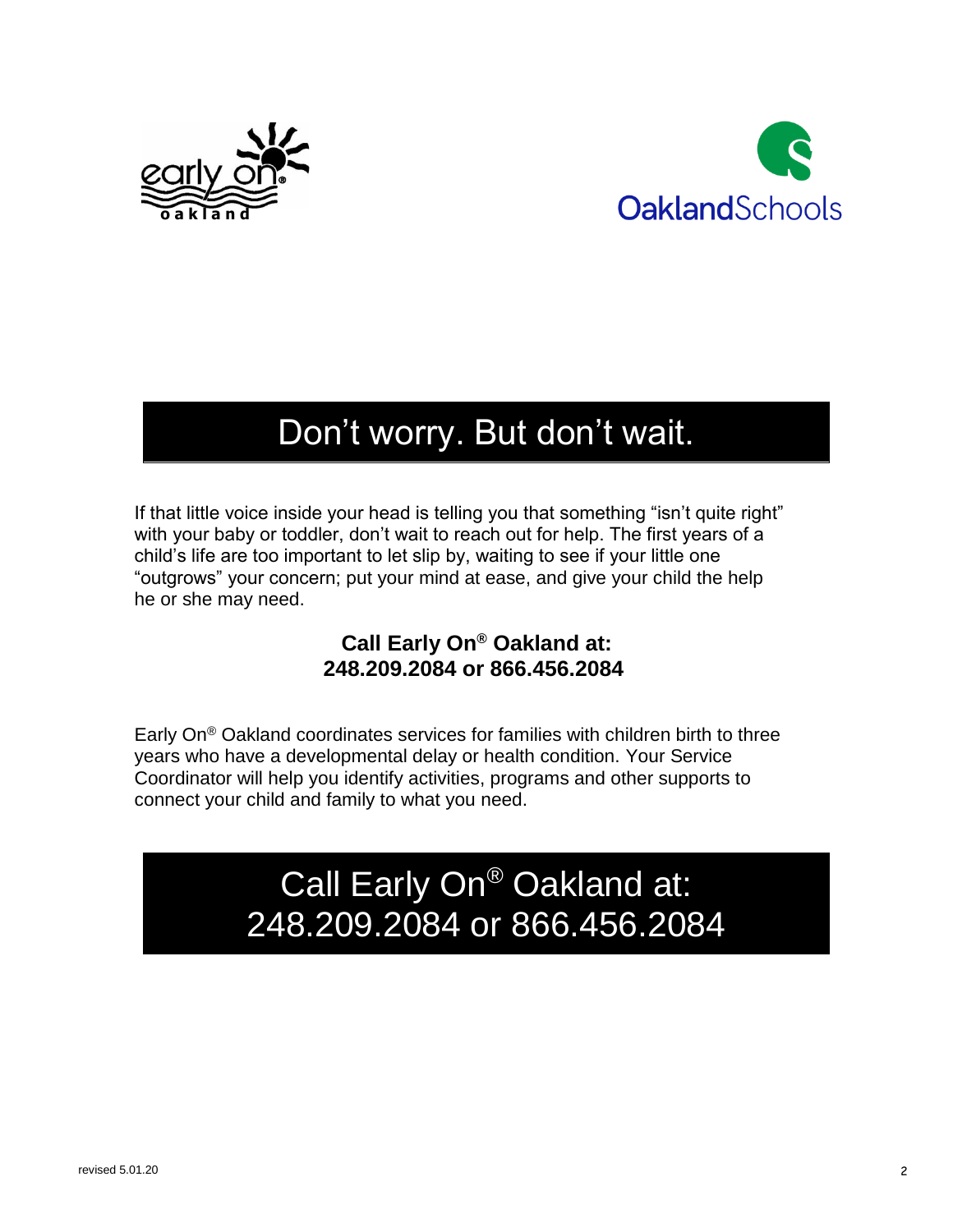



## Don't worry. But don't wait.

If that little voice inside your head is telling you that something "isn't quite right" with your baby or toddler, don't wait to reach out for help. The first years of a child's life are too important to let slip by, waiting to see if your little one "outgrows" your concern; put your mind at ease, and give your child the help he or she may need.

#### **Call Early On® Oakland at: 248.209.2084 or 866.456.2084**

Early On® Oakland coordinates services for families with children birth to three years who have a developmental delay or health condition. Your Service Coordinator will help you identify activities, programs and other supports to connect your child and family to what you need.

> Call Early On® Oakland at: 248.209.2084 or 866.456.2084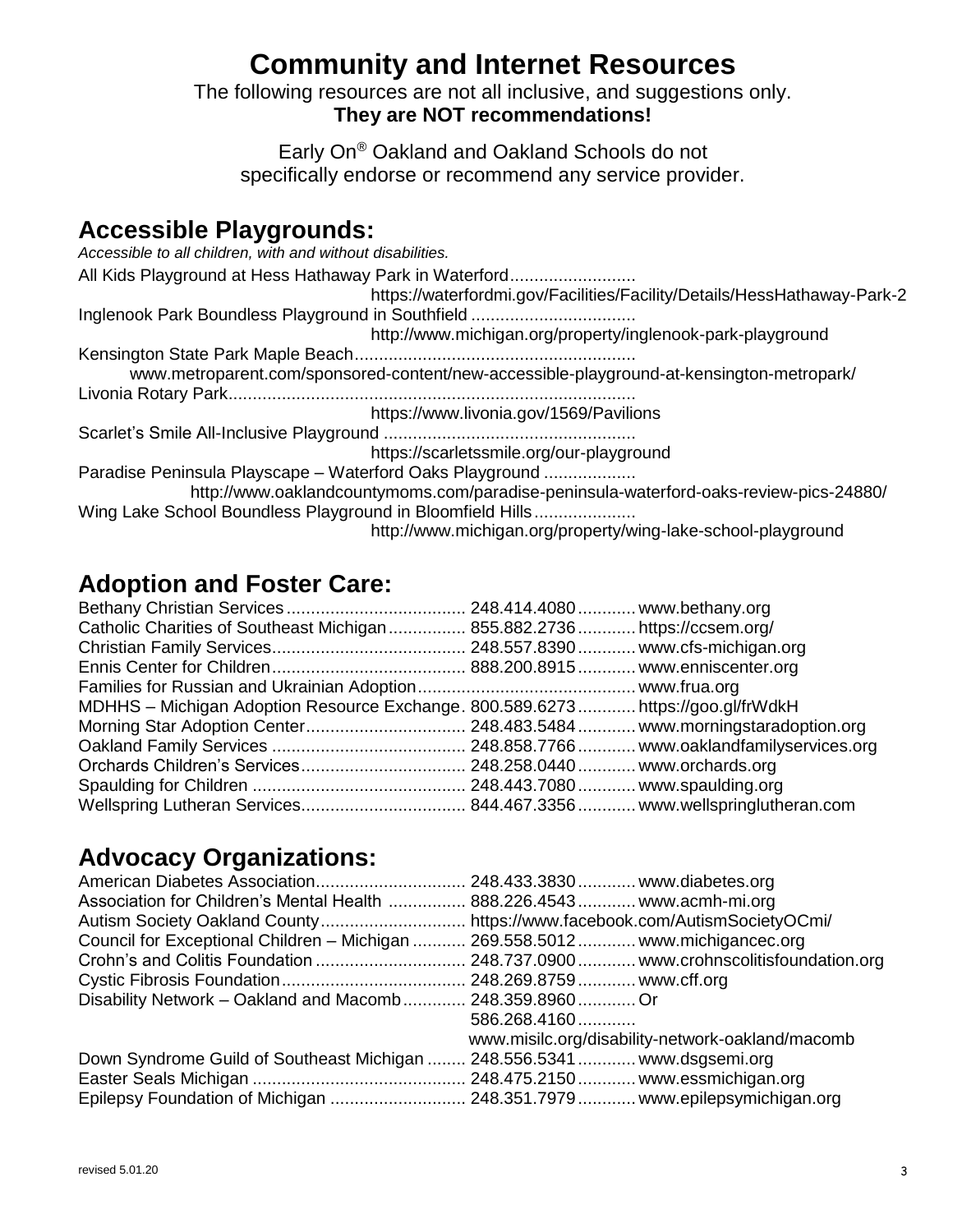## **Community and Internet Resources**

The following resources are not all inclusive, and suggestions only. **They are NOT recommendations!**

Early On® Oakland and Oakland Schools do not specifically endorse or recommend any service provider.

#### **Accessible Playgrounds:**

*Accessible to all children, with and without disabilities.* All Kids Playground at Hess Hathaway Park in Waterford.......................... <https://waterfordmi.gov/Facilities/Facility/Details/HessHathaway-Park-2> Inglenook Park Boundless Playground in Southfield .................................. <http://www.michigan.org/property/inglenook-park-playground> Kensington State Park Maple Beach.......................................................... www.metroparent.com/sponsored-content/new-accessible-playground-at-kensington-metropark/ Livonia Rotary Park.................................................................................... <https://www.livonia.gov/1569/Pavilions> Scarlet's Smile All-Inclusive Playground .................................................... <https://scarletssmile.org/our-playground> Paradise Peninsula Playscape – Waterford Oaks Playground ................... <http://www.oaklandcountymoms.com/paradise-peninsula-waterford-oaks-review-pics-24880/> Wing Lake School Boundless Playground in Bloomfield Hills..................... <http://www.michigan.org/property/wing-lake-school-playground>

#### **Adoption and Foster Care:**

| Catholic Charities of Southeast Michigan 855.882.2736 https://ccsem.org/       |  |
|--------------------------------------------------------------------------------|--|
|                                                                                |  |
|                                                                                |  |
|                                                                                |  |
| MDHHS - Michigan Adoption Resource Exchange. 800.589.6273https://goo.gl/frWdkH |  |
|                                                                                |  |
|                                                                                |  |
|                                                                                |  |
|                                                                                |  |
|                                                                                |  |

#### **Advocacy Organizations:**

| American Diabetes Association 248.433.3830 www.diabetes.org                    |                                                  |
|--------------------------------------------------------------------------------|--------------------------------------------------|
| Association for Children's Mental Health  888.226.4543  www.acmh-mi.org        |                                                  |
|                                                                                |                                                  |
| Council for Exceptional Children – Michigan  269.558.5012  www.michigancec.org |                                                  |
|                                                                                |                                                  |
|                                                                                |                                                  |
| Disability Network - Oakland and Macomb 248.359.8960 Or                        |                                                  |
|                                                                                | 586.268.4160                                     |
|                                                                                | www.misilc.org/disability-network-oakland/macomb |
| Down Syndrome Guild of Southeast Michigan  248.556.5341  www.dsgsemi.org       |                                                  |
|                                                                                |                                                  |
| Epilepsy Foundation of Michigan  248.351.7979  www.epilepsymichigan.org        |                                                  |
|                                                                                |                                                  |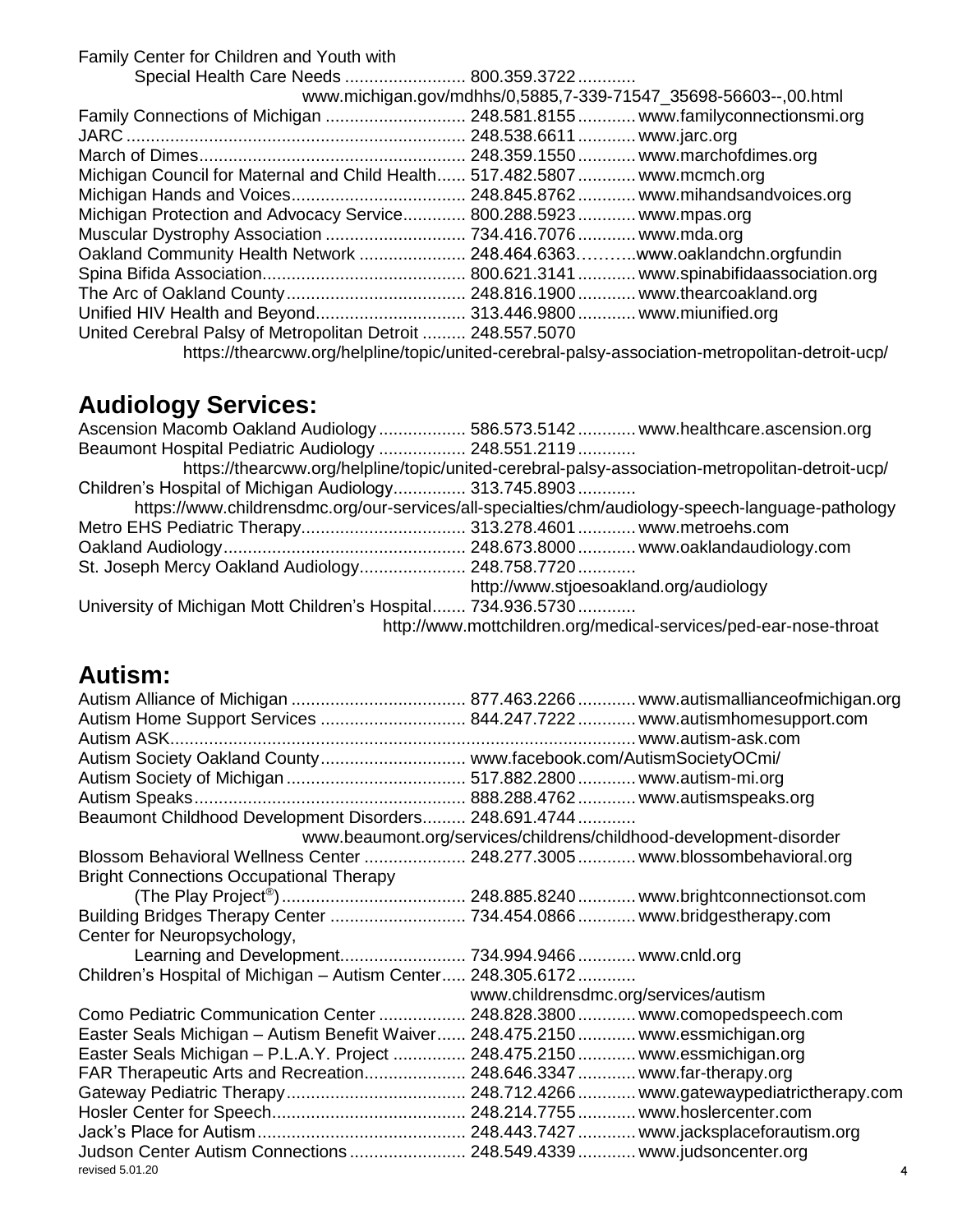Family Center for Children and Youth with

| Special Health Care Needs  800.359.3722                                   |                                                                                                 |
|---------------------------------------------------------------------------|-------------------------------------------------------------------------------------------------|
|                                                                           | www.michigan.gov/mdhhs/0,5885,7-339-71547_35698-56603--,00.html                                 |
|                                                                           |                                                                                                 |
|                                                                           |                                                                                                 |
|                                                                           |                                                                                                 |
| Michigan Council for Maternal and Child Health 517.482.5807 www.mcmch.org |                                                                                                 |
|                                                                           |                                                                                                 |
| Michigan Protection and Advocacy Service 800.288.5923 www.mpas.org        |                                                                                                 |
|                                                                           |                                                                                                 |
| Oakland Community Health Network  248.464.6363www.oaklandchn.orgfundin    |                                                                                                 |
|                                                                           |                                                                                                 |
|                                                                           |                                                                                                 |
|                                                                           |                                                                                                 |
| United Cerebral Palsy of Metropolitan Detroit  248.557.5070               |                                                                                                 |
|                                                                           | https://thearcww.org/helpline/topic/united-cerebral-palsy-association-metropolitan-detroit-ucp/ |

## **Audiology Services:**

| Ascension Macomb Oakland Audiology  586.573.5142  www.healthcare.ascension.org                    |
|---------------------------------------------------------------------------------------------------|
| Beaumont Hospital Pediatric Audiology  248.551.2119                                               |
| https://thearcww.org/helpline/topic/united-cerebral-palsy-association-metropolitan-detroit-ucp/   |
| Children's Hospital of Michigan Audiology 313.745.8903                                            |
| https://www.childrensdmc.org/our-services/all-specialties/chm/audiology-speech-language-pathology |
|                                                                                                   |
|                                                                                                   |
| St. Joseph Mercy Oakland Audiology 248.758.7720                                                   |
| http://www.stjoesoakland.org/audiology                                                            |
| University of Michigan Mott Children's Hospital 734.936.5730                                      |
| http://www.mottchildren.org/medical-services/ped-ear-nose-throat                                  |
|                                                                                                   |

#### **Autism:**

| Autism Home Support Services  844.247.7222  www.autismhomesupport.com          |                                      |                                                                    |
|--------------------------------------------------------------------------------|--------------------------------------|--------------------------------------------------------------------|
|                                                                                |                                      |                                                                    |
| Autism Society Oakland County www.facebook.com/AutismSocietyOCmi/              |                                      |                                                                    |
|                                                                                |                                      |                                                                    |
|                                                                                |                                      |                                                                    |
| Beaumont Childhood Development Disorders 248.691.4744                          |                                      |                                                                    |
|                                                                                |                                      | www.beaumont.org/services/childrens/childhood-development-disorder |
| Blossom Behavioral Wellness Center  248.277.3005  www.blossombehavioral.org    |                                      |                                                                    |
| <b>Bright Connections Occupational Therapy</b>                                 |                                      |                                                                    |
|                                                                                |                                      |                                                                    |
|                                                                                |                                      |                                                                    |
| Center for Neuropsychology,                                                    |                                      |                                                                    |
|                                                                                |                                      |                                                                    |
| Children's Hospital of Michigan - Autism Center 248.305.6172                   |                                      |                                                                    |
|                                                                                | www.childrensdmc.org/services/autism |                                                                    |
| Como Pediatric Communication Center  248.828.3800  www.comopedspeech.com       |                                      |                                                                    |
| Easter Seals Michigan - Autism Benefit Waiver 248.475.2150 www.essmichigan.org |                                      |                                                                    |
| Easter Seals Michigan - P.L.A.Y. Project  248.475.2150  www.essmichigan.org    |                                      |                                                                    |
| FAR Therapeutic Arts and Recreation 248.646.3347 www.far-therapy.org           |                                      |                                                                    |
|                                                                                |                                      |                                                                    |
|                                                                                |                                      |                                                                    |
|                                                                                |                                      |                                                                    |
| Judson Center Autism Connections  248.549.4339  www.judsoncenter.org           |                                      |                                                                    |
| revised 5.01.20                                                                |                                      | 4                                                                  |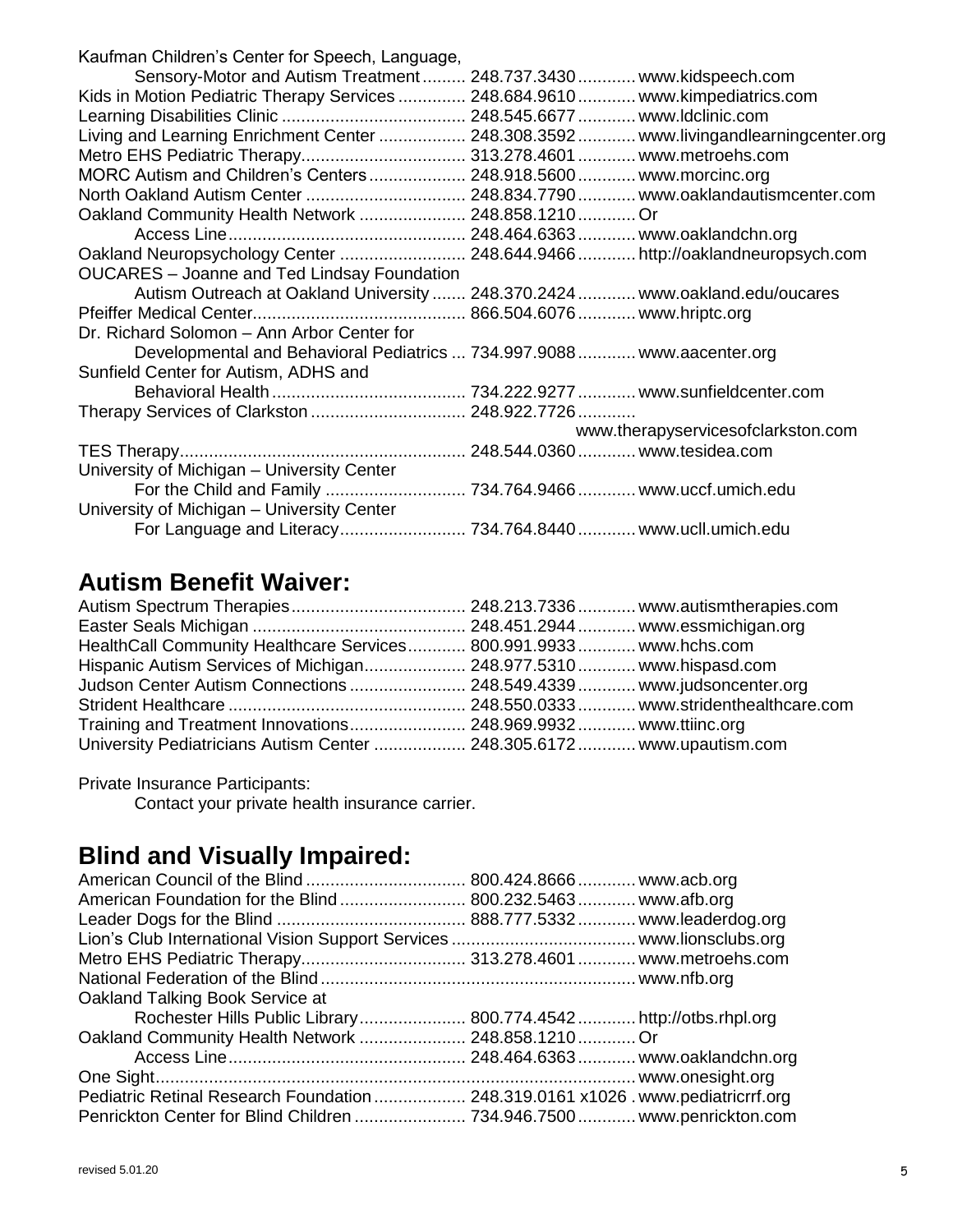| Kaufman Children's Center for Speech, Language,                                |                                                                                      |
|--------------------------------------------------------------------------------|--------------------------------------------------------------------------------------|
|                                                                                | Sensory-Motor and Autism Treatment 248.737.3430 www.kidspeech.com                    |
| Kids in Motion Pediatric Therapy Services  248.684.9610  www.kimpediatrics.com |                                                                                      |
|                                                                                |                                                                                      |
|                                                                                | Living and Learning Enrichment Center  248.308.3592  www.livingandlearningcenter.org |
| Metro EHS Pediatric Therapy 313.278.4601 www.metroehs.com                      |                                                                                      |
| MORC Autism and Children's Centers  248.918.5600  www.morcinc.org              |                                                                                      |
|                                                                                | North Oakland Autism Center  248.834.7790  www.oaklandautismcenter.com               |
| Oakland Community Health Network  248.858.1210  Or                             |                                                                                      |
|                                                                                |                                                                                      |
|                                                                                | Oakland Neuropsychology Center  248.644.9466  http://oaklandneuropsych.com           |
| <b>OUCARES</b> - Joanne and Ted Lindsay Foundation                             |                                                                                      |
|                                                                                | Autism Outreach at Oakland University  248.370.2424  www.oakland.edu/oucares         |
|                                                                                |                                                                                      |
| Dr. Richard Solomon - Ann Arbor Center for                                     |                                                                                      |
| Developmental and Behavioral Pediatrics  734.997.9088  www.aacenter.org        |                                                                                      |
| Sunfield Center for Autism, ADHS and                                           |                                                                                      |
|                                                                                |                                                                                      |
|                                                                                |                                                                                      |
|                                                                                | www.therapyservicesofclarkston.com                                                   |
|                                                                                |                                                                                      |
| University of Michigan - University Center                                     |                                                                                      |
|                                                                                |                                                                                      |
| University of Michigan - University Center                                     |                                                                                      |
|                                                                                | For Language and Literacy 734.764.8440 www.ucll.umich.edu                            |

#### **Autism Benefit Waiver:**

| HealthCall Community Healthcare Services 800.991.9933 www.hchs.com     |  |
|------------------------------------------------------------------------|--|
| Hispanic Autism Services of Michigan 248.977.5310 www.hispasd.com      |  |
| Judson Center Autism Connections  248.549.4339  www.judsoncenter.org   |  |
|                                                                        |  |
| Training and Treatment Innovations 248.969.9932 www.ttiinc.org         |  |
| University Pediatricians Autism Center  248.305.6172  www.upautism.com |  |

Private Insurance Participants:

Contact your private health insurance carrier.

## **Blind and Visually Impaired:**

| American Foundation for the Blind  800.232.5463  www.afb.org                     |  |
|----------------------------------------------------------------------------------|--|
|                                                                                  |  |
|                                                                                  |  |
|                                                                                  |  |
|                                                                                  |  |
| Oakland Talking Book Service at                                                  |  |
|                                                                                  |  |
| Oakland Community Health Network  248.858.1210  Or                               |  |
|                                                                                  |  |
|                                                                                  |  |
| Pediatric Retinal Research Foundation  248.319.0161 x1026 . www.pediatricrrf.org |  |
|                                                                                  |  |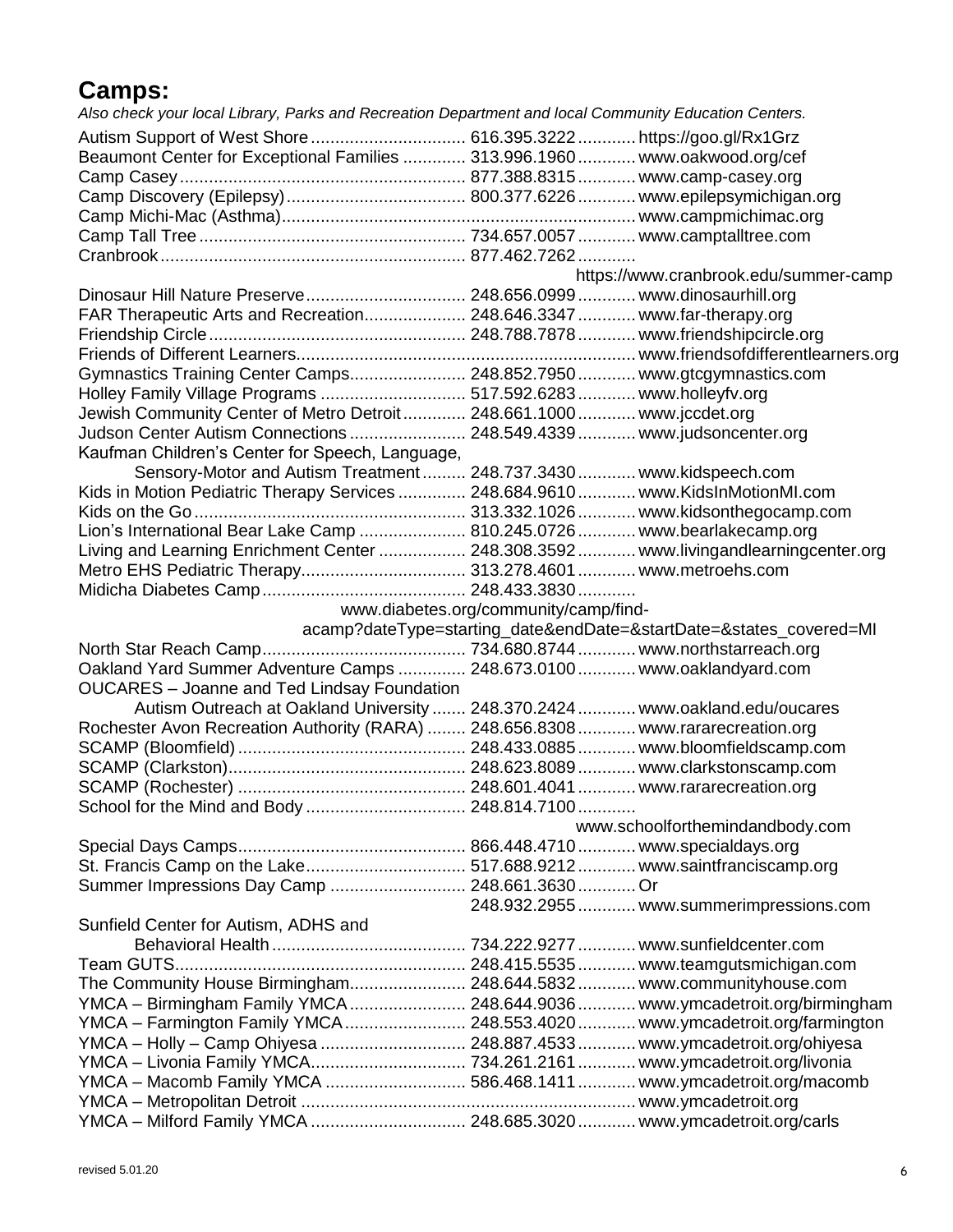#### **Camps:**

*Also check your local Library, Parks and Recreation Department and local Community Education Centers.*

| Beaumont Center for Exceptional Families  313.996.1960  www.oakwood.org/cef          |                                       |                                                                    |
|--------------------------------------------------------------------------------------|---------------------------------------|--------------------------------------------------------------------|
|                                                                                      |                                       |                                                                    |
|                                                                                      |                                       |                                                                    |
|                                                                                      |                                       |                                                                    |
|                                                                                      |                                       |                                                                    |
|                                                                                      |                                       |                                                                    |
|                                                                                      |                                       | https://www.cranbrook.edu/summer-camp                              |
|                                                                                      |                                       |                                                                    |
| FAR Therapeutic Arts and Recreation 248.646.3347  www.far-therapy.org                |                                       |                                                                    |
|                                                                                      |                                       |                                                                    |
|                                                                                      |                                       |                                                                    |
| Gymnastics Training Center Camps 248.852.7950 www.gtcgymnastics.com                  |                                       |                                                                    |
| Holley Family Village Programs  517.592.6283  www.holleyfv.org                       |                                       |                                                                    |
| Jewish Community Center of Metro Detroit 248.661.1000 www.jccdet.org                 |                                       |                                                                    |
| Judson Center Autism Connections  248.549.4339  www.judsoncenter.org                 |                                       |                                                                    |
| Kaufman Children's Center for Speech, Language,                                      |                                       |                                                                    |
| Sensory-Motor and Autism Treatment 248.737.3430 www.kidspeech.com                    |                                       |                                                                    |
| Kids in Motion Pediatric Therapy Services  248.684.9610  www.KidsInMotionMI.com      |                                       |                                                                    |
|                                                                                      |                                       |                                                                    |
| Lion's International Bear Lake Camp  810.245.0726  www.bearlakecamp.org              |                                       |                                                                    |
| Living and Learning Enrichment Center  248.308.3592  www.livingandlearningcenter.org |                                       |                                                                    |
| Metro EHS Pediatric Therapy 313.278.4601  www.metroehs.com                           |                                       |                                                                    |
|                                                                                      |                                       |                                                                    |
|                                                                                      | www.diabetes.org/community/camp/find- |                                                                    |
|                                                                                      |                                       | acamp?dateType=starting_date&endDate=&startDate=&states_covered=MI |
|                                                                                      |                                       |                                                                    |
| Oakland Yard Summer Adventure Camps  248.673.0100  www.oaklandyard.com               |                                       |                                                                    |
| <b>OUCARES</b> - Joanne and Ted Lindsay Foundation                                   |                                       |                                                                    |
| Autism Outreach at Oakland University  248.370.2424  www.oakland.edu/oucares         |                                       |                                                                    |
| Rochester Avon Recreation Authority (RARA)  248.656.8308  www.rararecreation.org     |                                       |                                                                    |
|                                                                                      |                                       |                                                                    |
|                                                                                      |                                       |                                                                    |
|                                                                                      |                                       |                                                                    |
|                                                                                      |                                       |                                                                    |
| School for the Mind and Body  248.814.7100                                           |                                       |                                                                    |
|                                                                                      |                                       | www.schoolforthemindandbody.com                                    |
|                                                                                      |                                       |                                                                    |
|                                                                                      |                                       |                                                                    |
| Summer Impressions Day Camp  248.661.3630 Or                                         |                                       |                                                                    |
|                                                                                      |                                       | 248.932.2955  www.summerimpressions.com                            |
| Sunfield Center for Autism, ADHS and                                                 |                                       |                                                                    |
|                                                                                      |                                       |                                                                    |
|                                                                                      |                                       |                                                                    |
| The Community House Birmingham 248.644.5832 www.communityhouse.com                   |                                       |                                                                    |
| YMCA – Birmingham Family YMCA  248.644.9036  www.ymcadetroit.org/birmingham          |                                       |                                                                    |
| YMCA - Farmington Family YMCA  248.553.4020  www.ymcadetroit.org/farmington          |                                       |                                                                    |
| YMCA - Holly - Camp Ohiyesa  248.887.4533  www.ymcadetroit.org/ohiyesa               |                                       |                                                                    |
|                                                                                      |                                       |                                                                    |
| YMCA - Macomb Family YMCA  586.468.1411  www.ymcadetroit.org/macomb                  |                                       |                                                                    |
|                                                                                      |                                       |                                                                    |
| YMCA - Milford Family YMCA  248.685.3020  www.ymcadetroit.org/carls                  |                                       |                                                                    |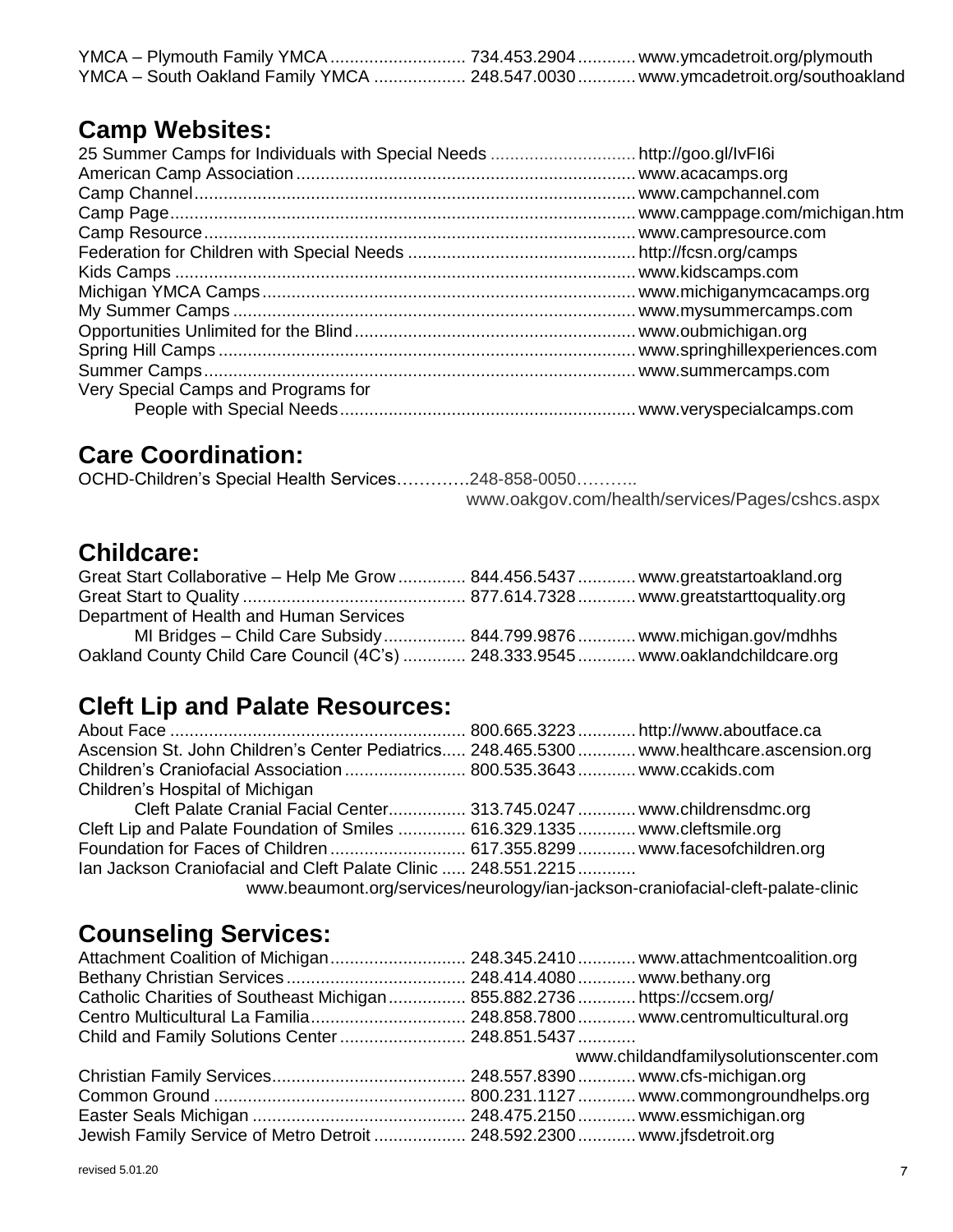| YMCA - Plymouth Family YMCA  734.453.2904  www.ymcadetroit.org/plymouth          |  |
|----------------------------------------------------------------------------------|--|
| YMCA - South Oakland Family YMCA  248.547.0030  www.ymcadetroit.org/southoakland |  |

#### **Camp Websites:**

| Very Special Camps and Programs for |  |
|-------------------------------------|--|
|                                     |  |

#### **Care Coordination:**

OCHD-Children's Special Health Services………….248-858-0050……….. www.oakgov.com/health/services/Pages/cshcs.aspx

#### **Childcare:**

| Great Start Collaborative - Help Me Grow  844.456.5437  www.greatstartoakland.org |  |
|-----------------------------------------------------------------------------------|--|
|                                                                                   |  |
| Department of Health and Human Services                                           |  |
| MI Bridges - Child Care Subsidy 844.799.9876 www.michigan.gov/mdhhs               |  |
| Oakland County Child Care Council (4C's)  248.333.9545  www.oaklandchildcare.org  |  |

#### **Cleft Lip and Palate Resources:**

| Ascension St. John Children's Center Pediatrics 248.465.5300  www.healthcare.ascension.org |                                                                                  |
|--------------------------------------------------------------------------------------------|----------------------------------------------------------------------------------|
| Children's Craniofacial Association  800.535.3643  www.ccakids.com                         |                                                                                  |
| Children's Hospital of Michigan                                                            |                                                                                  |
| Cleft Palate Cranial Facial Center 313.745.0247  www.childrensdmc.org                      |                                                                                  |
| Cleft Lip and Palate Foundation of Smiles  616.329.1335  www.cleftsmile.org                |                                                                                  |
| Foundation for Faces of Children  617.355.8299  www.facesofchildren.org                    |                                                                                  |
| Ian Jackson Craniofacial and Cleft Palate Clinic  248.551.2215                             |                                                                                  |
|                                                                                            | www.beaumont.org/services/neurology/ian-jackson-craniofacial-cleft-palate-clinic |

#### **Counseling Services:**

| Catholic Charities of Southeast Michigan 855.882.2736 https://ccsem.org/ |                                       |
|--------------------------------------------------------------------------|---------------------------------------|
|                                                                          |                                       |
| Child and Family Solutions Center 248.851.5437                           |                                       |
|                                                                          | www.childandfamilysolutionscenter.com |
|                                                                          |                                       |
|                                                                          |                                       |
|                                                                          |                                       |
|                                                                          |                                       |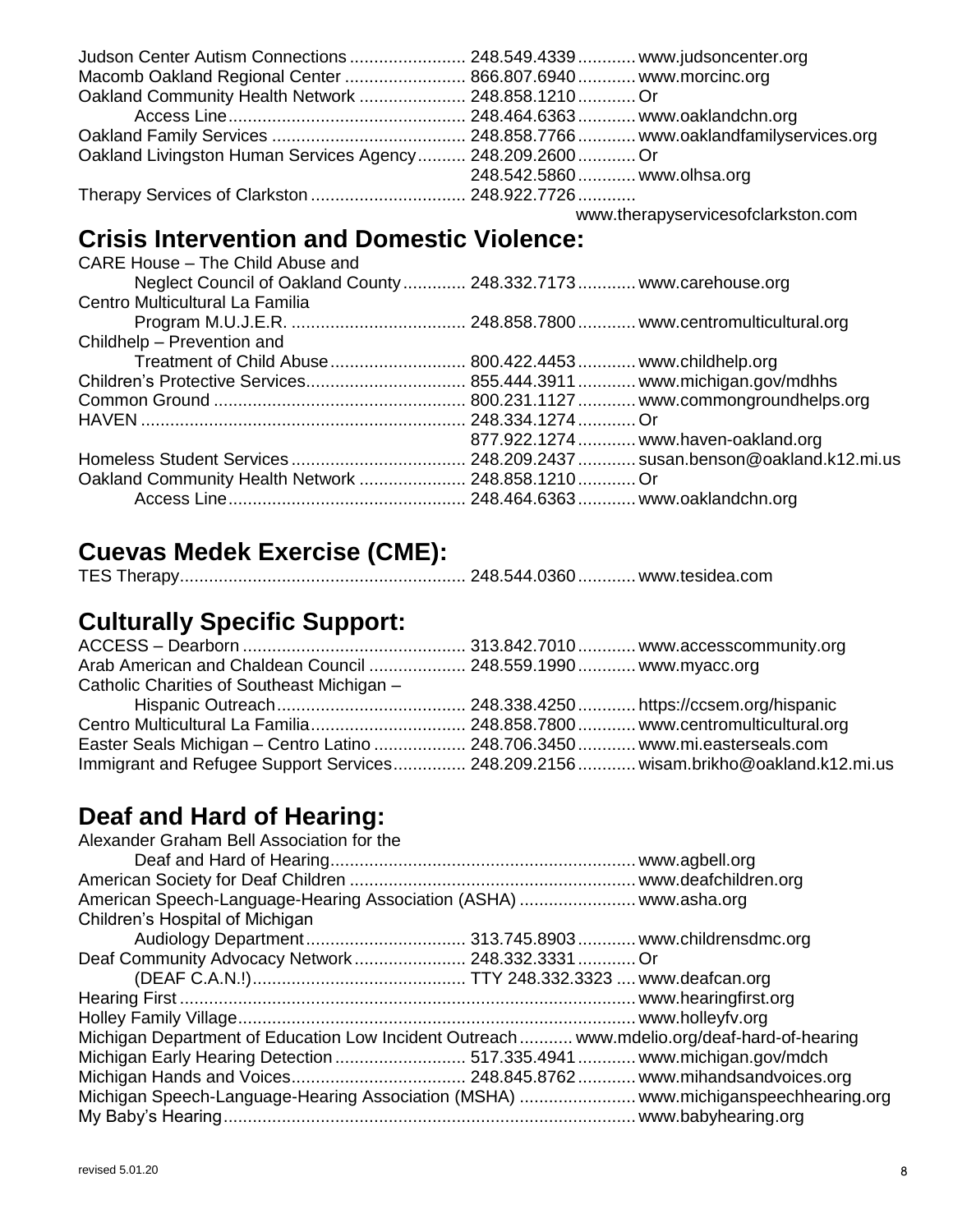| Judson Center Autism Connections  248.549.4339  www.judsoncenter.org |                             |  |
|----------------------------------------------------------------------|-----------------------------|--|
| Macomb Oakland Regional Center  866.807.6940  www.morcinc.org        |                             |  |
| Oakland Community Health Network  248.858.1210  Or                   |                             |  |
|                                                                      |                             |  |
|                                                                      |                             |  |
| Oakland Livingston Human Services Agency 248.209.2600 Or             |                             |  |
|                                                                      | 248.542.5860  www.olhsa.org |  |
|                                                                      |                             |  |

[www.therapyservicesofclarkston.com](http://www.therapyservicesofclarkston.com/)

## **Crisis Intervention and Domestic Violence:**

| CARE House - The Child Abuse and                                   |                                     |
|--------------------------------------------------------------------|-------------------------------------|
| Neglect Council of Oakland County  248.332.7173  www.carehouse.org |                                     |
| Centro Multicultural La Familia                                    |                                     |
|                                                                    |                                     |
| Childhelp - Prevention and                                         |                                     |
| Treatment of Child Abuse  800.422.4453  www.childhelp.org          |                                     |
|                                                                    |                                     |
|                                                                    |                                     |
|                                                                    |                                     |
|                                                                    | 877.922.1274  www.haven-oakland.org |
|                                                                    |                                     |
| Oakland Community Health Network  248.858.1210  Or                 |                                     |
|                                                                    |                                     |
|                                                                    |                                     |

## **Cuevas Medek Exercise (CME):**

|--|--|--|

## **Culturally Specific Support:**

| Arab American and Chaldean Council  248.559.1990 www.myacc.org                     |  |
|------------------------------------------------------------------------------------|--|
| Catholic Charities of Southeast Michigan -                                         |  |
|                                                                                    |  |
|                                                                                    |  |
| Easter Seals Michigan - Centro Latino  248.706.3450  www.mi.easterseals.com        |  |
| Immigrant and Refugee Support Services 248.209.2156 wisam.brikho@oakland.k12.mi.us |  |

#### **Deaf and Hard of Hearing:**

| Alexander Graham Bell Association for the                                                   |  |
|---------------------------------------------------------------------------------------------|--|
|                                                                                             |  |
|                                                                                             |  |
| American Speech-Language-Hearing Association (ASHA)  www.asha.org                           |  |
| Children's Hospital of Michigan                                                             |  |
|                                                                                             |  |
| Deaf Community Advocacy Network 248.332.3331 Or                                             |  |
|                                                                                             |  |
|                                                                                             |  |
|                                                                                             |  |
| Michigan Department of Education Low Incident Outreach  www.mdelio.org/deaf-hard-of-hearing |  |
|                                                                                             |  |
|                                                                                             |  |
| Michigan Speech-Language-Hearing Association (MSHA)  www.michiganspeechhearing.org          |  |
|                                                                                             |  |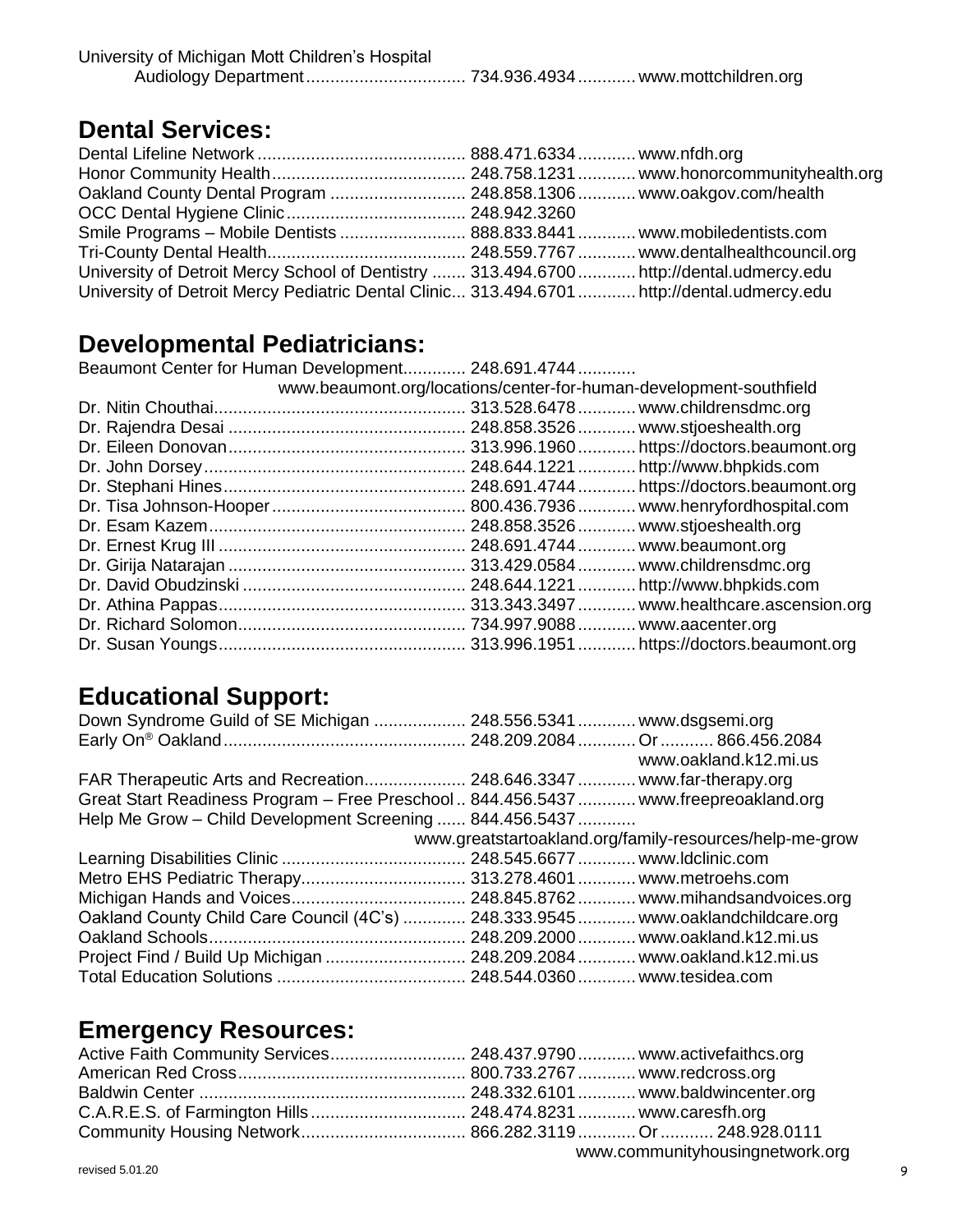| University of Michigan Mott Children's Hospital |  |
|-------------------------------------------------|--|
|                                                 |  |

#### **Dental Services:**

| Oakland County Dental Program  248.858.1306  www.oakgov.com/health                          |  |
|---------------------------------------------------------------------------------------------|--|
|                                                                                             |  |
| Smile Programs - Mobile Dentists  888.833.8441  www.mobiledentists.com                      |  |
|                                                                                             |  |
| University of Detroit Mercy School of Dentistry  313.494.6700  http://dental.udmercy.edu    |  |
| University of Detroit Mercy Pediatric Dental Clinic 313.494.6701  http://dental.udmercy.edu |  |

#### **Developmental Pediatricians:**

| Developmentar i culatifulatio.                                     |  |
|--------------------------------------------------------------------|--|
| Beaumont Center for Human Development 248.691.4744                 |  |
| www.beaumont.org/locations/center-for-human-development-southfield |  |
|                                                                    |  |
|                                                                    |  |
|                                                                    |  |
|                                                                    |  |
|                                                                    |  |
|                                                                    |  |
|                                                                    |  |
|                                                                    |  |
|                                                                    |  |
|                                                                    |  |
|                                                                    |  |
|                                                                    |  |
|                                                                    |  |
|                                                                    |  |

#### **Educational Support:**

| Down Syndrome Guild of SE Michigan  248.556.5341  www.dsgsemi.org                  |                                                         |
|------------------------------------------------------------------------------------|---------------------------------------------------------|
|                                                                                    |                                                         |
|                                                                                    | www.oakland.k12.mi.us                                   |
| FAR Therapeutic Arts and Recreation 248.646.3347 www.far-therapy.org               |                                                         |
| Great Start Readiness Program - Free Preschool 844.456.5437 www.freepreoakland.org |                                                         |
| Help Me Grow - Child Development Screening  844.456.5437                           |                                                         |
|                                                                                    | www.greatstartoakland.org/family-resources/help-me-grow |
|                                                                                    |                                                         |
|                                                                                    |                                                         |
|                                                                                    |                                                         |
| Oakland County Child Care Council (4C's)  248.333.9545  www.oaklandchildcare.org   |                                                         |
|                                                                                    |                                                         |
| Project Find / Build Up Michigan  248.209.2084  www.oakland.k12.mi.us              |                                                         |
|                                                                                    |                                                         |

#### **Emergency Resources:**

| Active Faith Community Services 248.437.9790 www.activefaithcs.org |  |                                 |
|--------------------------------------------------------------------|--|---------------------------------|
|                                                                    |  |                                 |
|                                                                    |  |                                 |
|                                                                    |  |                                 |
|                                                                    |  |                                 |
|                                                                    |  | www.communityhousingnetwork.org |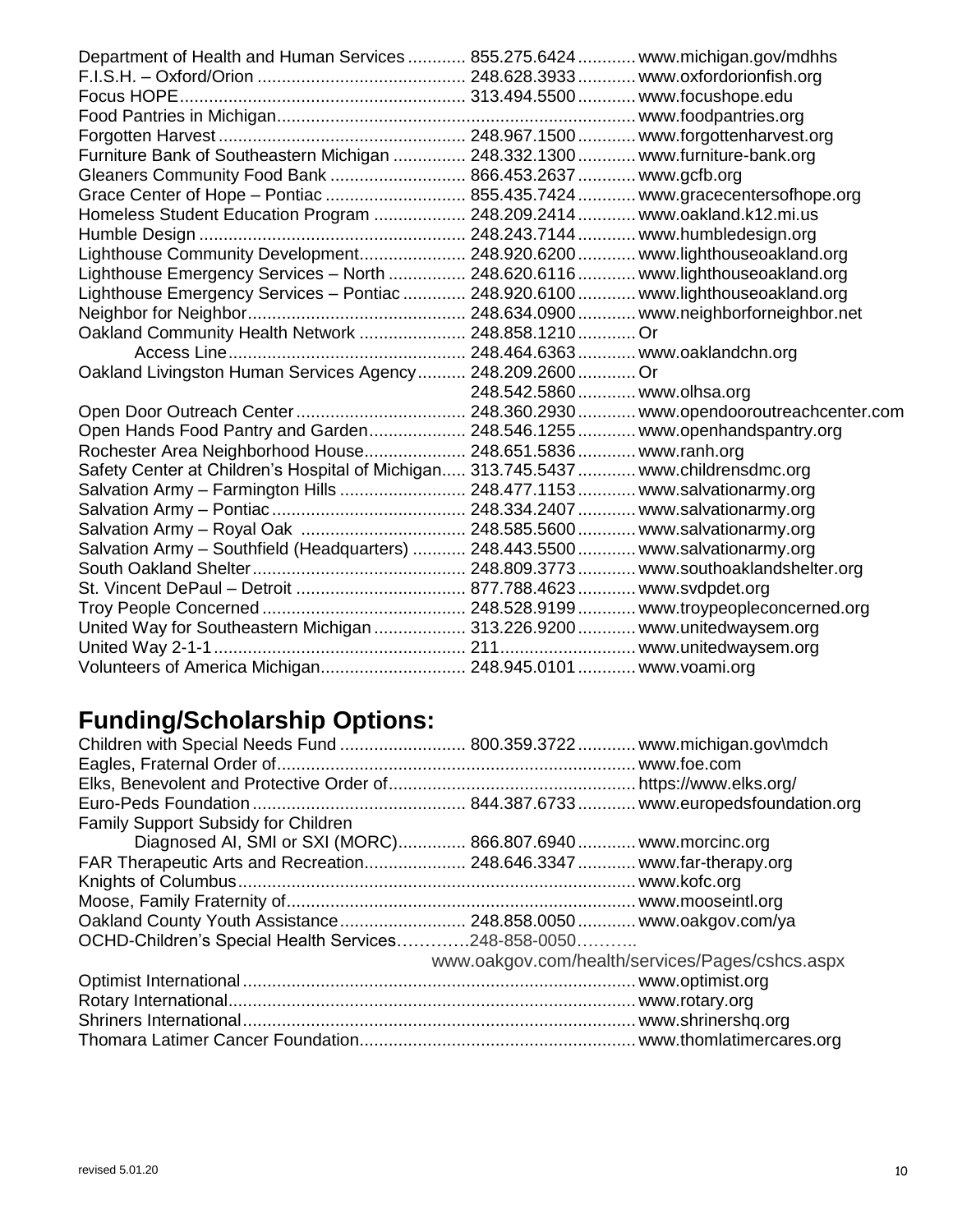| Department of Health and Human Services  855.275.6424  www.michigan.gov/mdhhs       |                             |  |
|-------------------------------------------------------------------------------------|-----------------------------|--|
|                                                                                     |                             |  |
|                                                                                     |                             |  |
|                                                                                     |                             |  |
|                                                                                     |                             |  |
| Furniture Bank of Southeastern Michigan  248.332.1300  www.furniture-bank.org       |                             |  |
| Gleaners Community Food Bank  866.453.2637  www.gcfb.org                            |                             |  |
| Grace Center of Hope - Pontiac  855.435.7424  www.gracecentersofhope.org            |                             |  |
| Homeless Student Education Program  248.209.2414  www.oakland.k12.mi.us             |                             |  |
|                                                                                     |                             |  |
| Lighthouse Community Development 248.920.6200  www.lighthouseoakland.org            |                             |  |
| Lighthouse Emergency Services - North  248.620.6116  www.lighthouseoakland.org      |                             |  |
| Lighthouse Emergency Services - Pontiac  248.920.6100  www.lighthouseoakland.org    |                             |  |
|                                                                                     |                             |  |
| Oakland Community Health Network  248.858.1210  Or                                  |                             |  |
|                                                                                     |                             |  |
| Oakland Livingston Human Services Agency 248.209.2600 Or                            |                             |  |
|                                                                                     | 248.542.5860  www.olhsa.org |  |
|                                                                                     |                             |  |
| Open Hands Food Pantry and Garden 248.546.1255 www.openhandspantry.org              |                             |  |
| Rochester Area Neighborhood House 248.651.5836 www.ranh.org                         |                             |  |
| Safety Center at Children's Hospital of Michigan 313.745.5437  www.childrensdmc.org |                             |  |
| Salvation Army - Farmington Hills  248.477.1153  www.salvationarmy.org              |                             |  |
|                                                                                     |                             |  |
|                                                                                     |                             |  |
| Salvation Army - Southfield (Headquarters)  248.443.5500  www.salvationarmy.org     |                             |  |
|                                                                                     |                             |  |
|                                                                                     |                             |  |
|                                                                                     |                             |  |
| United Way for Southeastern Michigan  313.226.9200  www.unitedwaysem.org            |                             |  |
|                                                                                     |                             |  |
| Volunteers of America Michigan 248.945.0101 www.voami.org                           |                             |  |

## **Funding/Scholarship Options:**

| Children with Special Needs Fund  800.359.3722  www.michigan.gov\mdch |                                                 |
|-----------------------------------------------------------------------|-------------------------------------------------|
|                                                                       |                                                 |
|                                                                       |                                                 |
|                                                                       |                                                 |
| <b>Family Support Subsidy for Children</b>                            |                                                 |
| Diagnosed AI, SMI or SXI (MORC) 866.807.6940 www.morcinc.org          |                                                 |
| FAR Therapeutic Arts and Recreation 248.646.3347 www.far-therapy.org  |                                                 |
|                                                                       |                                                 |
|                                                                       |                                                 |
|                                                                       |                                                 |
| OCHD-Children's Special Health Services248-858-0050                   |                                                 |
|                                                                       | www.oakgov.com/health/services/Pages/cshcs.aspx |
|                                                                       |                                                 |
|                                                                       |                                                 |
|                                                                       |                                                 |
|                                                                       |                                                 |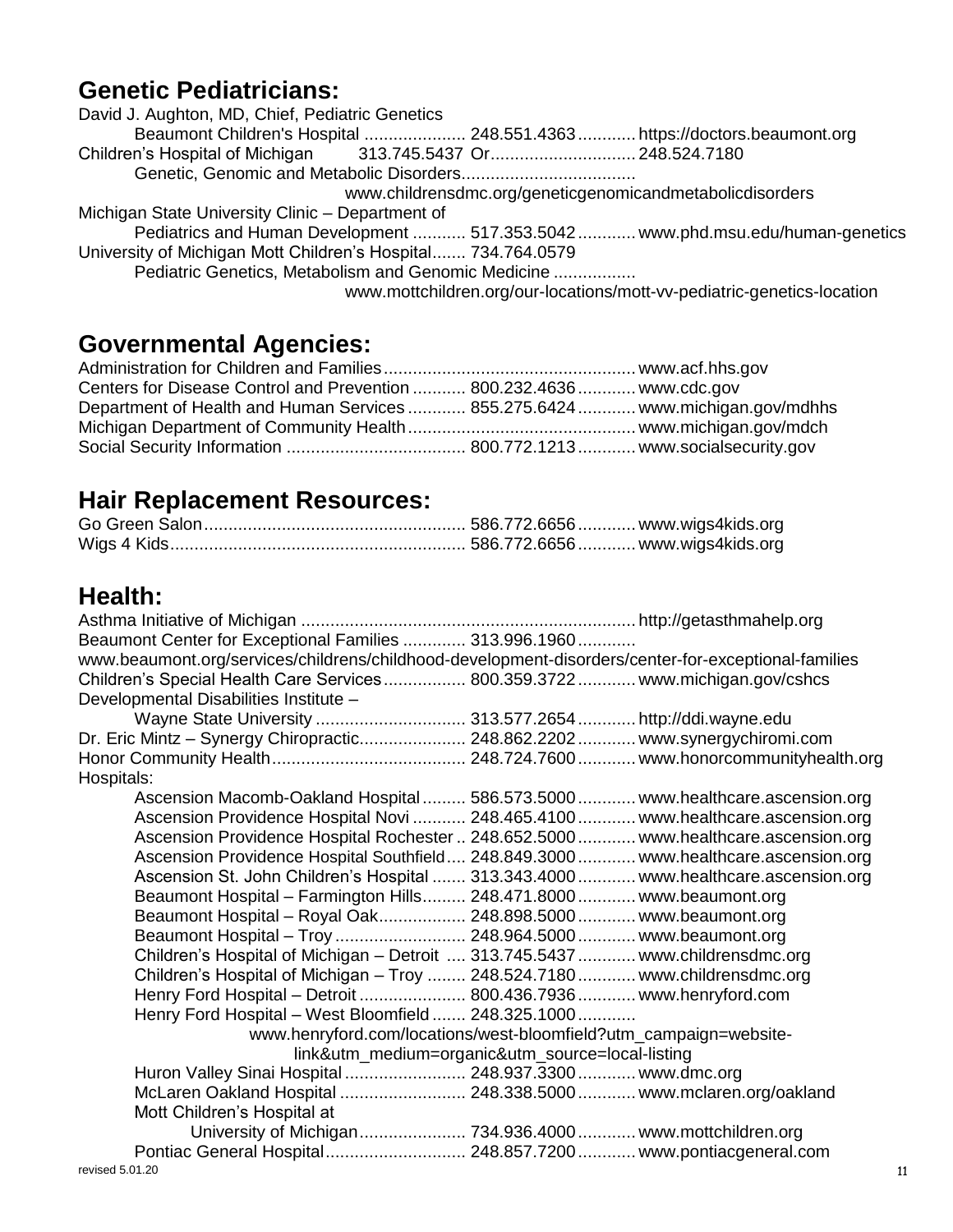#### **Genetic Pediatricians:**

| David J. Aughton, MD, Chief, Pediatric Genetics                          |                                                                                |
|--------------------------------------------------------------------------|--------------------------------------------------------------------------------|
| Beaumont Children's Hospital  248.551.4363  https://doctors.beaumont.org |                                                                                |
|                                                                          |                                                                                |
|                                                                          |                                                                                |
|                                                                          | www.childrensdmc.org/geneticgenomicandmetabolicdisorders                       |
| Michigan State University Clinic - Department of                         |                                                                                |
|                                                                          | Pediatrics and Human Development  517.353.5042  www.phd.msu.edu/human-genetics |
| University of Michigan Mott Children's Hospital 734.764.0579             |                                                                                |
| Pediatric Genetics, Metabolism and Genomic Medicine                      |                                                                                |
|                                                                          | www.mottchildren.org/our-locations/mott-vv-pediatric-genetics-location         |

#### **Governmental Agencies:**

| Centers for Disease Control and Prevention  800.232.4636  www.cdc.gov         |  |
|-------------------------------------------------------------------------------|--|
| Department of Health and Human Services  855.275.6424  www.michigan.gov/mdhhs |  |
|                                                                               |  |
|                                                                               |  |

#### **Hair Replacement Resources:**

## **Health:**

| Beaumont Center for Exceptional Families  313.996.1960                                              |    |
|-----------------------------------------------------------------------------------------------------|----|
| www.beaumont.org/services/childrens/childhood-development-disorders/center-for-exceptional-families |    |
| Children's Special Health Care Services 800.359.3722 www.michigan.gov/cshcs                         |    |
| Developmental Disabilities Institute -                                                              |    |
| Wayne State University  313.577.2654  http://ddi.wayne.edu                                          |    |
| Dr. Eric Mintz - Synergy Chiropractic 248.862.2202 www.synergychiromi.com                           |    |
|                                                                                                     |    |
| Hospitals:                                                                                          |    |
| Ascension Macomb-Oakland Hospital  586.573.5000  www.healthcare.ascension.org                       |    |
| Ascension Providence Hospital Novi  248.465.4100  www.healthcare.ascension.org                      |    |
| Ascension Providence Hospital Rochester  248.652.5000  www.healthcare.ascension.org                 |    |
| Ascension Providence Hospital Southfield 248.849.3000 www.healthcare.ascension.org                  |    |
| Ascension St. John Children's Hospital  313.343.4000  www.healthcare.ascension.org                  |    |
| Beaumont Hospital - Farmington Hills 248.471.8000 www.beaumont.org                                  |    |
| Beaumont Hospital - Royal Oak 248.898.5000 www.beaumont.org                                         |    |
| Beaumont Hospital - Troy  248.964.5000  www.beaumont.org                                            |    |
| Children's Hospital of Michigan - Detroit  313.745.5437  www.childrensdmc.org                       |    |
| Children's Hospital of Michigan - Troy  248.524.7180  www.childrensdmc.org                          |    |
| Henry Ford Hospital - Detroit  800.436.7936  www.henryford.com                                      |    |
| Henry Ford Hospital - West Bloomfield  248.325.1000                                                 |    |
| www.henryford.com/locations/west-bloomfield?utm_campaign=website-                                   |    |
| link&utm_medium=organic&utm_source=local-listing                                                    |    |
| Huron Valley Sinai Hospital  248.937.3300  www.dmc.org                                              |    |
|                                                                                                     |    |
| Mott Children's Hospital at                                                                         |    |
|                                                                                                     |    |
| Pontiac General Hospital 248.857.7200 www.pontiacgeneral.com                                        |    |
| revised 5.01.20                                                                                     | 11 |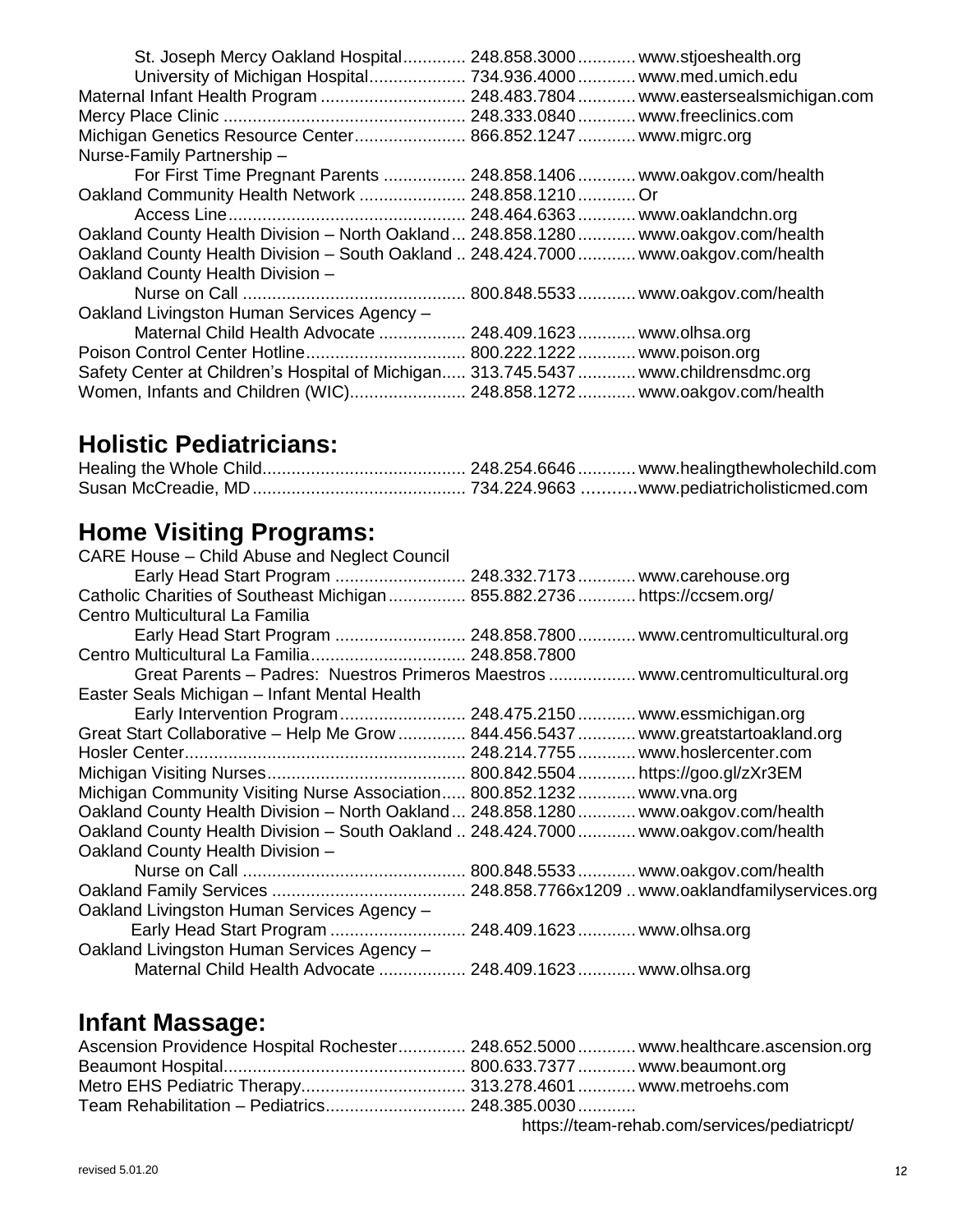| St. Joseph Mercy Oakland Hospital 248.858.3000 www.stjoeshealth.org                 |
|-------------------------------------------------------------------------------------|
| University of Michigan Hospital 734.936.4000 www.med.umich.edu                      |
| Maternal Infant Health Program  248.483.7804  www.eastersealsmichigan.com           |
|                                                                                     |
| Michigan Genetics Resource Center 866.852.1247 www.migrc.org                        |
| Nurse-Family Partnership -                                                          |
| For First Time Pregnant Parents  248.858.1406  www.oakgov.com/health                |
| Oakland Community Health Network  248.858.1210  Or                                  |
|                                                                                     |
| Oakland County Health Division - North Oakland  248.858.1280  www.oakgov.com/health |
| Oakland County Health Division - South Oakland  248.424.7000  www.oakgov.com/health |
| Oakland County Health Division -                                                    |
|                                                                                     |
| Oakland Livingston Human Services Agency -                                          |
| Maternal Child Health Advocate  248.409.1623  www.olhsa.org                         |
|                                                                                     |
| Safety Center at Children's Hospital of Michigan 313.745.5437  www.childrensdmc.org |
| Women, Infants and Children (WIC) 248.858.1272 www.oakgov.com/health                |

#### **Holistic Pediatricians:**

## **Home Visiting Programs:**

| CARE House – Child Abuse and Neglect Council                                        |                                                                                 |
|-------------------------------------------------------------------------------------|---------------------------------------------------------------------------------|
| Early Head Start Program  248.332.7173  www.carehouse.org                           |                                                                                 |
| Catholic Charities of Southeast Michigan  855.882.2736  https://ccsem.org/          |                                                                                 |
| Centro Multicultural La Familia                                                     |                                                                                 |
|                                                                                     | Early Head Start Program  248.858.7800  www.centromulticultural.org             |
|                                                                                     |                                                                                 |
|                                                                                     | Great Parents - Padres: Nuestros Primeros Maestros  www.centromulticultural.org |
| Easter Seals Michigan - Infant Mental Health                                        |                                                                                 |
| Early Intervention Program 248.475.2150 www.essmichigan.org                         |                                                                                 |
| Great Start Collaborative - Help Me Grow  844.456.5437  www.greatstartoakland.org   |                                                                                 |
|                                                                                     |                                                                                 |
|                                                                                     |                                                                                 |
| Michigan Community Visiting Nurse Association 800.852.1232 www.vna.org              |                                                                                 |
| Oakland County Health Division - North Oakland  248.858.1280  www.oakgov.com/health |                                                                                 |
| Oakland County Health Division - South Oakland  248.424.7000  www.oakgov.com/health |                                                                                 |
| Oakland County Health Division -                                                    |                                                                                 |
|                                                                                     |                                                                                 |
|                                                                                     |                                                                                 |
| Oakland Livingston Human Services Agency -                                          |                                                                                 |
| Early Head Start Program  248.409.1623  www.olhsa.org                               |                                                                                 |
| Oakland Livingston Human Services Agency -                                          |                                                                                 |
| Maternal Child Health Advocate  248.409.1623  www.olhsa.org                         |                                                                                 |

#### **Infant Massage:**

| Ascension Providence Hospital Rochester 248.652.5000 www.healthcare.ascension.org |                                              |
|-----------------------------------------------------------------------------------|----------------------------------------------|
|                                                                                   |                                              |
|                                                                                   |                                              |
|                                                                                   |                                              |
|                                                                                   | https://team-rehab.com/services/pediatricpt/ |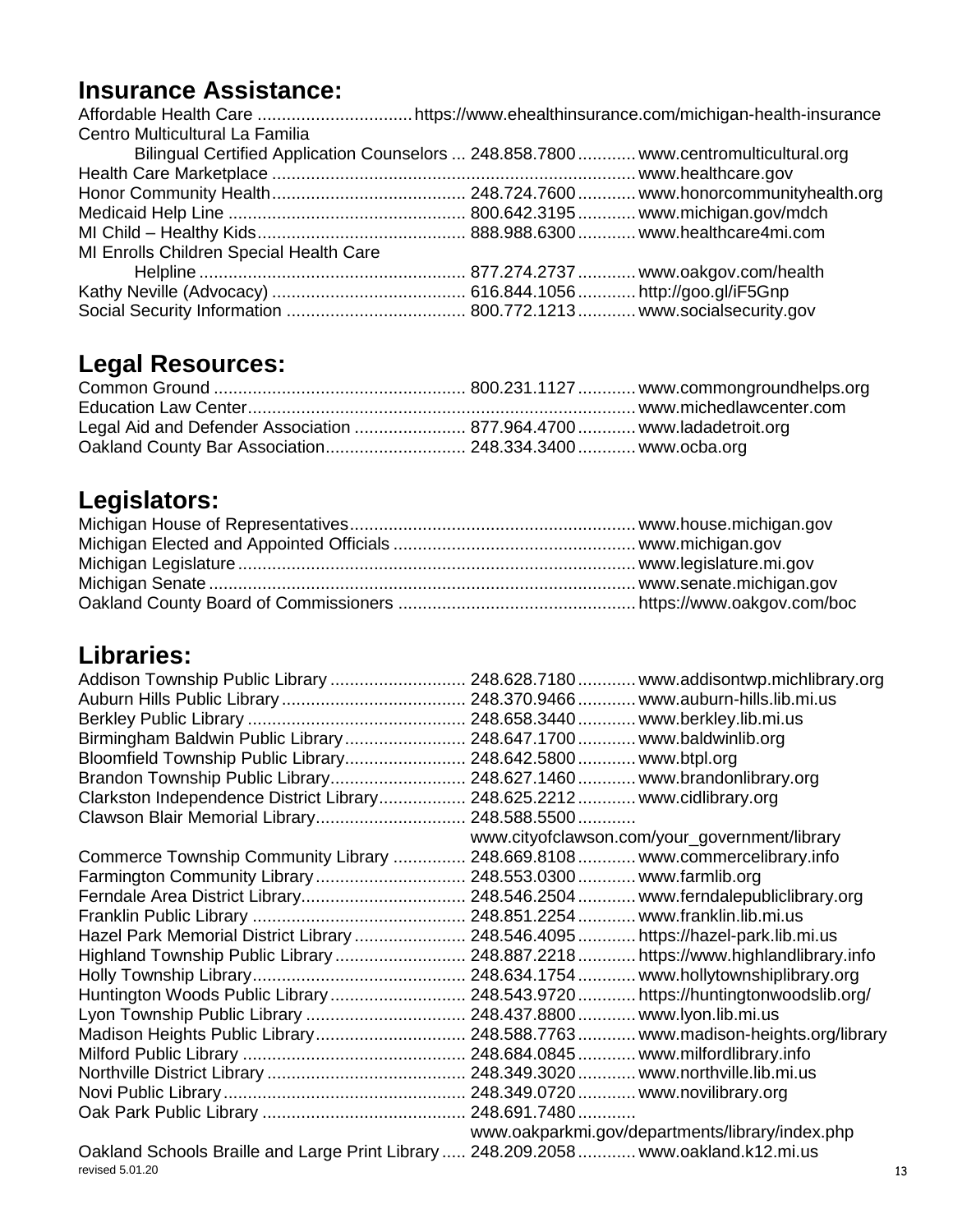## **Insurance Assistance:**

| Centro Multicultural La Familia                                                       |  |
|---------------------------------------------------------------------------------------|--|
| Bilingual Certified Application Counselors  248.858.7800  www.centromulticultural.org |  |
|                                                                                       |  |
|                                                                                       |  |
|                                                                                       |  |
|                                                                                       |  |
| MI Enrolls Children Special Health Care                                               |  |
|                                                                                       |  |
|                                                                                       |  |
|                                                                                       |  |

## **Legal Resources:**

| Legal Aid and Defender Association  877.964.4700  www.ladadetroit.org |  |
|-----------------------------------------------------------------------|--|
| Oakland County Bar Association 248.334.3400 www.ocba.org              |  |

## **Legislators:**

## **Libraries:**

|                                                                                      | Addison Township Public Library  248.628.7180  www.addisontwp.michlibrary.org |
|--------------------------------------------------------------------------------------|-------------------------------------------------------------------------------|
|                                                                                      |                                                                               |
|                                                                                      |                                                                               |
| Birmingham Baldwin Public Library  248.647.1700  www.baldwinlib.org                  |                                                                               |
| Bloomfield Township Public Library                                                   | . 248.642.5800  www.btpl.org                                                  |
| Brandon Township Public Library                                                      | . 248.627.1460  www.brandonlibrary.org                                        |
| Clarkston Independence District Library                                              | . 248.625.2212  www.cidlibrary.org                                            |
| Clawson Blair Memorial Library 248.588.5500                                          |                                                                               |
|                                                                                      | www.cityofclawson.com/your_government/library                                 |
| Commerce Township Community Library                                                  | 248.669.8108  www.commercelibrary.info                                        |
|                                                                                      |                                                                               |
|                                                                                      |                                                                               |
|                                                                                      | . 248.851.2254  www.franklin.lib.mi.us                                        |
| Hazel Park Memorial District Library                                                 | 248.546.4095  https://hazel-park.lib.mi.us                                    |
| Highland Township Public Library                                                     | 248.887.2218  https://www.highlandlibrary.info                                |
|                                                                                      | 248.634.1754  www.hollytownshiplibrary.org                                    |
| Huntington Woods Public Library                                                      | 248.543.9720  https://huntingtonwoodslib.org/                                 |
| Lyon Township Public Library                                                         | 248.437.8800  www.lyon.lib.mi.us                                              |
|                                                                                      | Madison Heights Public Library 248.588.7763 www.madison-heights.org/library   |
|                                                                                      |                                                                               |
|                                                                                      | 248.349.3020  www.northville.lib.mi.us                                        |
|                                                                                      | 248.349.0720  www.novilibrary.org                                             |
|                                                                                      |                                                                               |
|                                                                                      | www.oakparkmi.gov/departments/library/index.php                               |
| Oakland Schools Braille and Large Print Library  248.209.2058  www.oakland.k12.mi.us |                                                                               |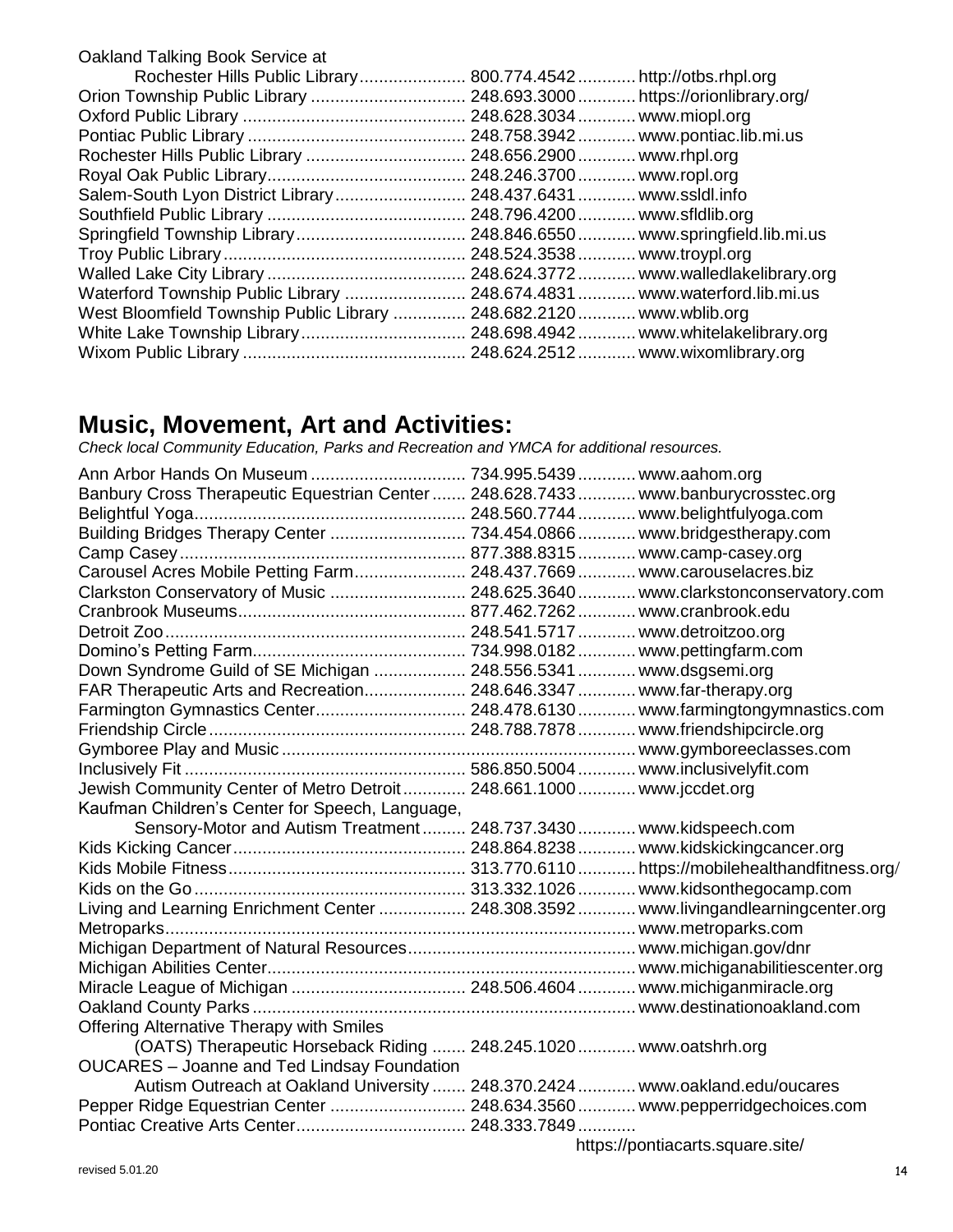| Oakland Talking Book Service at                                          |                              |                                     |
|--------------------------------------------------------------------------|------------------------------|-------------------------------------|
| Rochester Hills Public Library 800.774.4542 http://otbs.rhpl.org         |                              |                                     |
|                                                                          |                              |                                     |
|                                                                          |                              |                                     |
|                                                                          |                              | 248.758.3942  www.pontiac.lib.mi.us |
|                                                                          |                              |                                     |
|                                                                          |                              |                                     |
| Salem-South Lyon District Library                                        | 248.437.6431  www.ssldl.info |                                     |
|                                                                          |                              |                                     |
|                                                                          |                              |                                     |
|                                                                          |                              |                                     |
|                                                                          |                              |                                     |
| Waterford Township Public Library  248.674.4831  www.waterford.lib.mi.us |                              |                                     |
| West Bloomfield Township Public Library                                  | 248.682.2120  www.wblib.org  |                                     |
|                                                                          |                              |                                     |
|                                                                          |                              |                                     |
|                                                                          |                              |                                     |

#### **Music, Movement, Art and Activities:**

*Check local Community Education, Parks and Recreation and YMCA for additional resources.*

| Ann Arbor Hands On Museum  734.995.5439  www.aahom.org<br>Banbury Cross Therapeutic Equestrian Center  248.628.7433  www.banburycrosstec.org |                                                                                                                                                                                                                                  |
|----------------------------------------------------------------------------------------------------------------------------------------------|----------------------------------------------------------------------------------------------------------------------------------------------------------------------------------------------------------------------------------|
|                                                                                                                                              |                                                                                                                                                                                                                                  |
|                                                                                                                                              |                                                                                                                                                                                                                                  |
|                                                                                                                                              |                                                                                                                                                                                                                                  |
| Carousel Acres Mobile Petting Farm 248.437.7669 www.carouselacres.biz                                                                        |                                                                                                                                                                                                                                  |
| Clarkston Conservatory of Music  248.625.3640  www.clarkstonconservatory.com                                                                 |                                                                                                                                                                                                                                  |
|                                                                                                                                              |                                                                                                                                                                                                                                  |
|                                                                                                                                              |                                                                                                                                                                                                                                  |
|                                                                                                                                              |                                                                                                                                                                                                                                  |
| Down Syndrome Guild of SE Michigan  248.556.5341  www.dsgsemi.org                                                                            |                                                                                                                                                                                                                                  |
| FAR Therapeutic Arts and Recreation 248.646.3347  www.far-therapy.org                                                                        |                                                                                                                                                                                                                                  |
| Farmington Gymnastics Center 248.478.6130 www.farmingtongymnastics.com                                                                       |                                                                                                                                                                                                                                  |
|                                                                                                                                              |                                                                                                                                                                                                                                  |
|                                                                                                                                              |                                                                                                                                                                                                                                  |
|                                                                                                                                              |                                                                                                                                                                                                                                  |
| Jewish Community Center of Metro Detroit 248.661.1000 www.jccdet.org                                                                         |                                                                                                                                                                                                                                  |
| Kaufman Children's Center for Speech, Language,                                                                                              |                                                                                                                                                                                                                                  |
| Sensory-Motor and Autism Treatment 248.737.3430 www.kidspeech.com                                                                            |                                                                                                                                                                                                                                  |
|                                                                                                                                              |                                                                                                                                                                                                                                  |
|                                                                                                                                              |                                                                                                                                                                                                                                  |
|                                                                                                                                              |                                                                                                                                                                                                                                  |
| Living and Learning Enrichment Center  248.308.3592  www.livingandlearningcenter.org                                                         |                                                                                                                                                                                                                                  |
|                                                                                                                                              |                                                                                                                                                                                                                                  |
|                                                                                                                                              |                                                                                                                                                                                                                                  |
|                                                                                                                                              |                                                                                                                                                                                                                                  |
|                                                                                                                                              |                                                                                                                                                                                                                                  |
|                                                                                                                                              |                                                                                                                                                                                                                                  |
| <b>Offering Alternative Therapy with Smiles</b>                                                                                              |                                                                                                                                                                                                                                  |
| (OATS) Therapeutic Horseback Riding  248.245.1020  www.oatshrh.org                                                                           |                                                                                                                                                                                                                                  |
| <b>OUCARES</b> - Joanne and Ted Lindsay Foundation                                                                                           |                                                                                                                                                                                                                                  |
| Autism Outreach at Oakland University  248.370.2424  www.oakland.edu/oucares                                                                 |                                                                                                                                                                                                                                  |
| Pepper Ridge Equestrian Center  248.634.3560  www.pepperridgechoices.com                                                                     |                                                                                                                                                                                                                                  |
|                                                                                                                                              | $\frac{1}{2}$ is the contract of the contract of the contract of the contract of the contract of the contract of the contract of the contract of the contract of the contract of the contract of the contract of the contract of |

https://pontiacarts.square.site/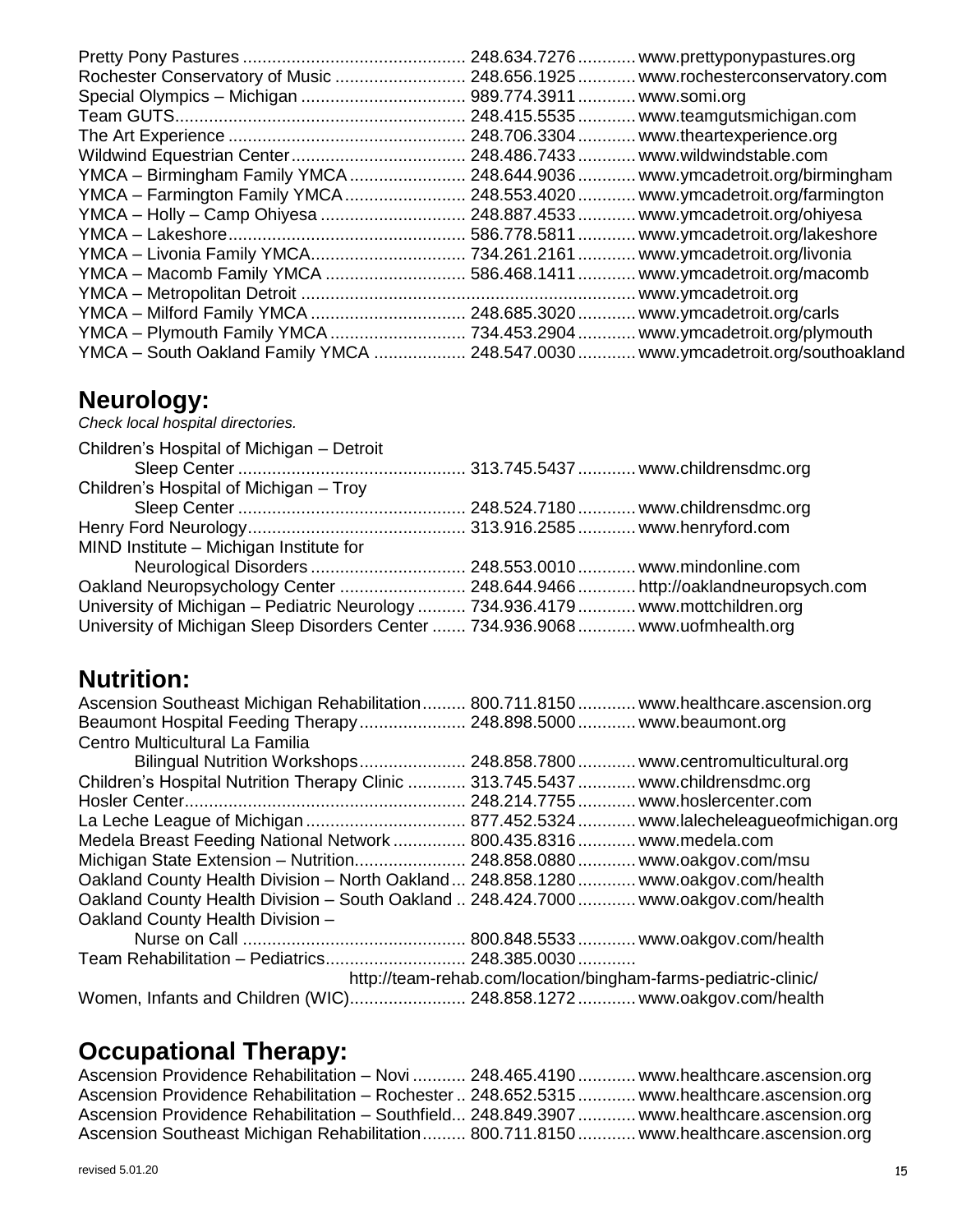|                                                | 248.634.7276 | www.prettyponypastures.org           |
|------------------------------------------------|--------------|--------------------------------------|
|                                                |              | www.rochesterconservatory.com        |
|                                                |              |                                      |
|                                                | 248.415.5535 | www.teamgutsmichigan.com             |
|                                                | 248.706.3304 | www.theartexperience.org             |
|                                                |              | 248.486.7433  www.wildwindstable.com |
| YMCA - Birmingham Family YMCA  248.644.9036    |              | www.ymcadetroit.org/birmingham       |
| YMCA - Farmington Family YMCA 248.553.4020     |              | www.ymcadetroit.org/farmington       |
| YMCA - Holly - Camp Ohiyesa  248.887.4533      |              | www.ymcadetroit.org/ohiyesa          |
|                                                |              | .www.ymcadetroit.org/lakeshore       |
| YMCA – Livonia Family YMCA 734.261.2161        |              | www.ymcadetroit.org/livonia          |
| YMCA - Macomb Family YMCA                      | 586.468.1411 | www.ymcadetroit.org/macomb           |
|                                                |              | www.ymcadetroit.org                  |
| YMCA - Milford Family YMCA  248.685.3020       |              | www.ymcadetroit.org/carls            |
| YMCA - Plymouth Family YMCA  734.453.2904      |              | .www.ymcadetroit.org/plymouth        |
| YMCA - South Oakland Family YMCA  248.547.0030 |              | www.ymcadetroit.org/southoakland     |

#### **Neurology:**

*Check local hospital directories.*

| Children's Hospital of Michigan - Detroit                                        |  |
|----------------------------------------------------------------------------------|--|
|                                                                                  |  |
| Children's Hospital of Michigan - Troy                                           |  |
|                                                                                  |  |
|                                                                                  |  |
| MIND Institute - Michigan Institute for                                          |  |
|                                                                                  |  |
| Oakland Neuropsychology Center  248.644.9466  http://oaklandneuropsych.com       |  |
| University of Michigan - Pediatric Neurology  734.936.4179  www.mottchildren.org |  |
| University of Michigan Sleep Disorders Center  734.936.9068  www.uofmhealth.org  |  |

## **Nutrition:**

| Ascension Southeast Michigan Rehabilitation 800.711.8150 www.healthcare.ascension.org |  |
|---------------------------------------------------------------------------------------|--|
| Beaumont Hospital Feeding Therapy 248.898.5000 www.beaumont.org                       |  |
| Centro Multicultural La Familia                                                       |  |
| Bilingual Nutrition Workshops 248.858.7800 www.centromulticultural.org                |  |
| Children's Hospital Nutrition Therapy Clinic  313.745.5437  www.childrensdmc.org      |  |
|                                                                                       |  |
|                                                                                       |  |
| Medela Breast Feeding National Network  800.435.8316  www.medela.com                  |  |
| Michigan State Extension - Nutrition 248.858.0880 www.oakgov.com/msu                  |  |
| Oakland County Health Division - North Oakland  248.858.1280  www.oakgov.com/health   |  |
| Oakland County Health Division - South Oakland  248.424.7000  www.oakgov.com/health   |  |
| Oakland County Health Division -                                                      |  |
|                                                                                       |  |
| Team Rehabilitation - Pediatrics 248.385.0030                                         |  |
| http://team-rehab.com/location/bingham-farms-pediatric-clinic/                        |  |
| Women, Infants and Children (WIC) 248.858.1272 www.oakgov.com/health                  |  |

## **Occupational Therapy:**

| Ascension Providence Rehabilitation - Novi  248.465.4190  www.healthcare.ascension.org      |  |
|---------------------------------------------------------------------------------------------|--|
| Ascension Providence Rehabilitation - Rochester  248.652.5315  www.healthcare.ascension.org |  |
| Ascension Providence Rehabilitation - Southfield 248.849.3907  www.healthcare.ascension.org |  |
| Ascension Southeast Michigan Rehabilitation 800.711.8150 www.healthcare.ascension.org       |  |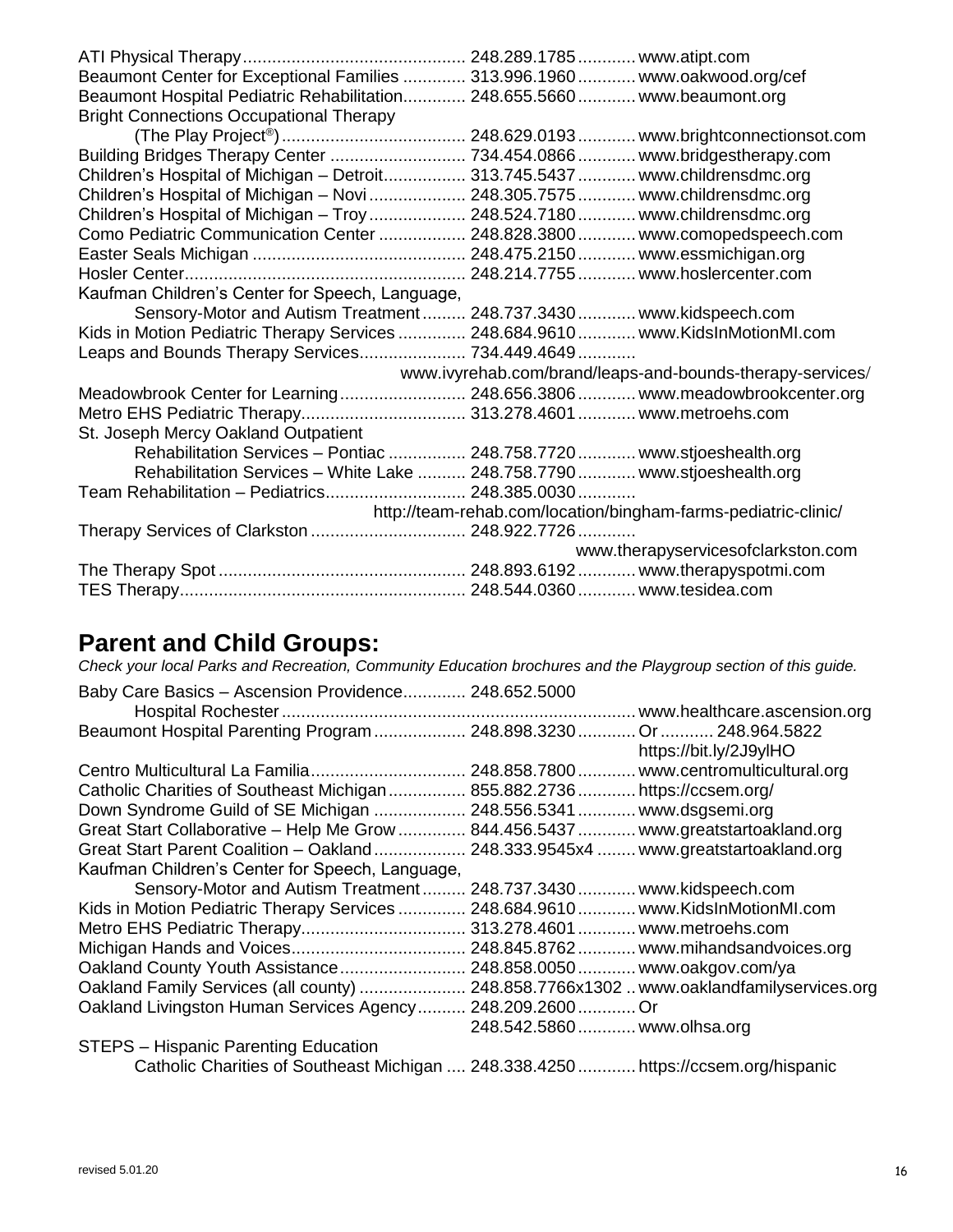| Beaumont Center for Exceptional Families  313.996.1960  www.oakwood.org/cef     |                                                                          |
|---------------------------------------------------------------------------------|--------------------------------------------------------------------------|
| Beaumont Hospital Pediatric Rehabilitation 248.655.5660 www.beaumont.org        |                                                                          |
| <b>Bright Connections Occupational Therapy</b>                                  |                                                                          |
|                                                                                 |                                                                          |
|                                                                                 |                                                                          |
| Children's Hospital of Michigan - Detroit 313.745.5437  www.childrensdmc.org    |                                                                          |
| Children's Hospital of Michigan - Novi  248.305.7575  www.childrensdmc.org      |                                                                          |
| Children's Hospital of Michigan – Troy  248.524.7180  www.childrensdmc.org      |                                                                          |
| Como Pediatric Communication Center  248.828.3800  www.comopedspeech.com        |                                                                          |
|                                                                                 |                                                                          |
|                                                                                 |                                                                          |
| Kaufman Children's Center for Speech, Language,                                 |                                                                          |
| Sensory-Motor and Autism Treatment 248.737.3430 www.kidspeech.com               |                                                                          |
| Kids in Motion Pediatric Therapy Services  248.684.9610  www.KidsInMotionMI.com |                                                                          |
| Leaps and Bounds Therapy Services 734.449.4649                                  |                                                                          |
|                                                                                 | www.ivyrehab.com/brand/leaps-and-bounds-therapy-services/                |
|                                                                                 | Meadowbrook Center for Learning 248.656.3806 www.meadowbrookcenter.org   |
| Metro EHS Pediatric Therapy 313.278.4601  www.metroehs.com                      |                                                                          |
| St. Joseph Mercy Oakland Outpatient                                             |                                                                          |
|                                                                                 | Rehabilitation Services - Pontiac  248.758.7720  www.stjoeshealth.org    |
|                                                                                 | Rehabilitation Services - White Lake  248.758.7790  www.stjoeshealth.org |
| Team Rehabilitation - Pediatrics 248.385.0030                                   |                                                                          |
|                                                                                 | http://team-rehab.com/location/bingham-farms-pediatric-clinic/           |
| Therapy Services of Clarkston  248.922.7726                                     |                                                                          |
|                                                                                 | www.therapyservicesofclarkston.com                                       |
|                                                                                 |                                                                          |
|                                                                                 |                                                                          |

#### **Parent and Child Groups:**

*Check your local Parks and Recreation, Community Education brochures and the Playgroup section of this guide.*

| Baby Care Basics - Ascension Providence 248.652.5000                               |                                 |                                                |
|------------------------------------------------------------------------------------|---------------------------------|------------------------------------------------|
|                                                                                    |                                 | www.healthcare.ascension.org                   |
| Beaumont Hospital Parenting Program 248.898.3230 Or 248.964.5822                   |                                 |                                                |
|                                                                                    |                                 | https://bit.ly/2J9ylHO                         |
|                                                                                    |                                 | 248.858.7800  www.centromulticultural.org      |
| Catholic Charities of Southeast Michigan  855.882.2736  https://ccsem.org/         |                                 |                                                |
| Down Syndrome Guild of SE Michigan  248.556.5341  www.dsgsemi.org                  |                                 |                                                |
| Great Start Collaborative - Help Me Grow  844.456.5437  www.greatstartoakland.org  |                                 |                                                |
| Great Start Parent Coalition - Oakland                                             |                                 | 248.333.9545x4  www.greatstartoakland.org      |
| Kaufman Children's Center for Speech, Language,                                    |                                 |                                                |
| Sensory-Motor and Autism Treatment                                                 | 248.737.3430  www.kidspeech.com |                                                |
| Kids in Motion Pediatric Therapy Services                                          |                                 | 248.684.9610  www.KidsInMotionMI.com           |
|                                                                                    | 313.278.4601  www.metroehs.com  |                                                |
|                                                                                    |                                 |                                                |
| Oakland County Youth Assistance 248.858.0050 www.oakgov.com/ya                     |                                 |                                                |
| Oakland Family Services (all county)                                               |                                 | 248.858.7766x1302www.oaklandfamilyservices.org |
| Oakland Livingston Human Services Agency                                           | 248.209.2600.                   | .Or                                            |
|                                                                                    | 248.542.5860  www.olhsa.org     |                                                |
| STEPS - Hispanic Parenting Education                                               |                                 |                                                |
| Catholic Charities of Southeast Michigan  248.338.4250  https://ccsem.org/hispanic |                                 |                                                |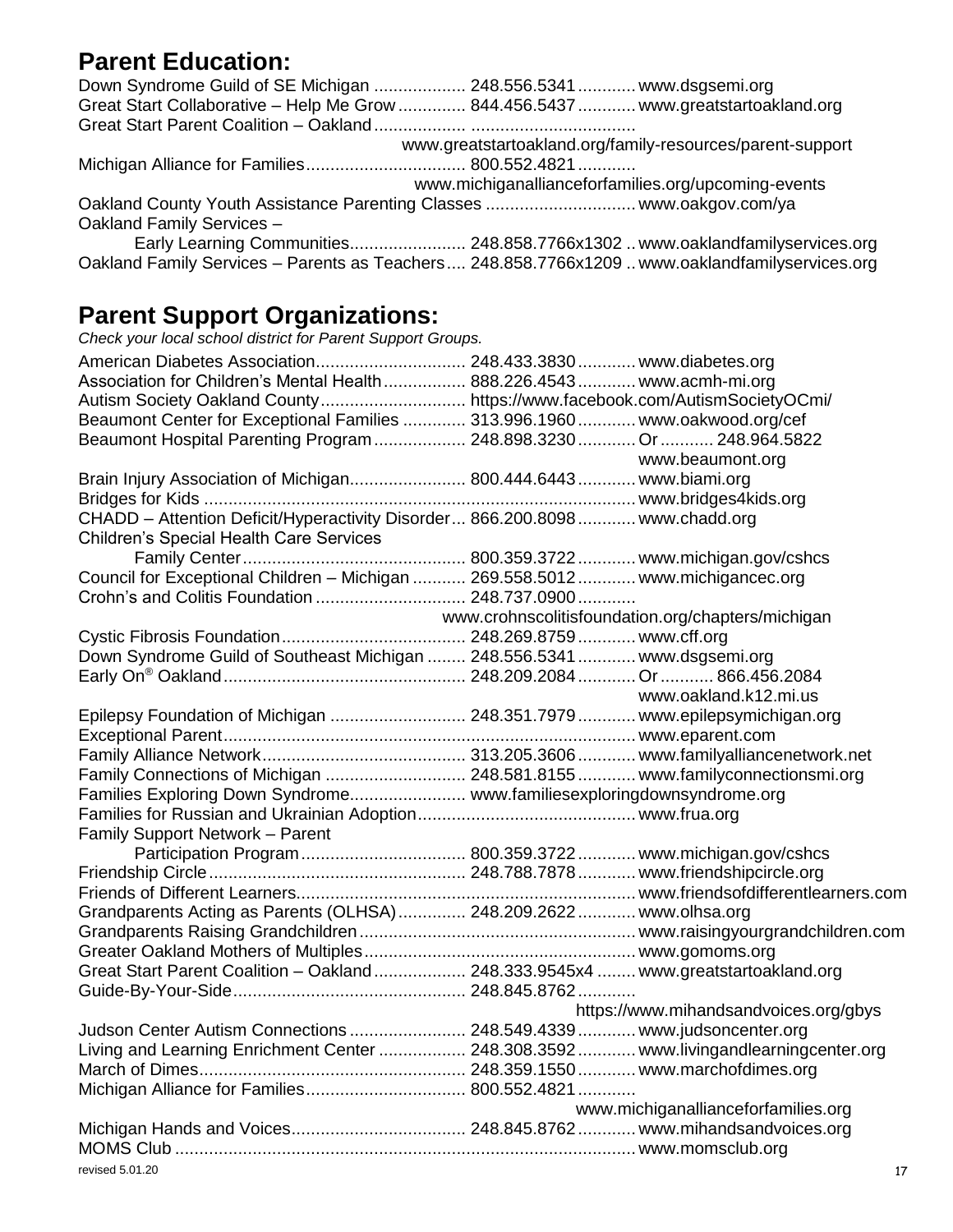#### **Parent Education:**

|                           | Down Syndrome Guild of SE Michigan  248.556.5341  www.dsgsemi.org                               |
|---------------------------|-------------------------------------------------------------------------------------------------|
|                           | Great Start Collaborative - Help Me Grow  844.456.5437  www.greatstartoakland.org               |
|                           |                                                                                                 |
|                           | www.greatstartoakland.org/family-resources/parent-support                                       |
|                           |                                                                                                 |
|                           | www.michiganallianceforfamilies.org/upcoming-events                                             |
|                           |                                                                                                 |
| Oakland Family Services - |                                                                                                 |
|                           | Early Learning Communities 248.858.7766x1302www.oaklandfamilyservices.org                       |
|                           | Oakland Family Services - Parents as Teachers  248.858.7766x1209  www.oaklandfamilyservices.org |

#### **Parent Support Organizations:**

*Check your local school district for Parent Support Groups.* American Diabetes Association............................... 248.433.3830............ [www.diabetes.org](http://www.diabetes.org/) Association for Children's Mental Health................. 888.226.4543............ [www.acmh-mi.org](http://www.acmh-mi.org/) Autism Society Oakland County.............................. <https://www.facebook.com/AutismSocietyOCmi/> Beaumont Center for Exceptional Families ............. 313.996.1960............ [www.oakwood.org/cef](http://www.oakwood.org/cef) Beaumont Hospital Parenting Program................... 248.898.3230............ Or........... 248.964.5822 [www.beaumont.org](http://www.beaumont.org/) Brain Injury Association of Michigan........................ 800.444.6443............ [www.biami.org](http://www.biami.org/) Bridges for Kids ......................................................................................... [www.bridges4kids.org](http://www.bridges4kids.org/) CHADD – Attention Deficit/Hyperactivity Disorder... 866.200.8098............ [www.chadd.org](http://www.chadd.org/) Children's Special Health Care Services Family Center.............................................. 800.359.3722............ [www.michigan.gov/cshcs](http://www.michigan.gov/cshcs) Council for Exceptional Children – Michigan ........... 269.558.5012............ [www.michigancec.org](http://www.michigancec.org/) Crohn's and Colitis Foundation ............................... 248.737.0900............ www.crohnscolitisfoundation.org/chapters/michigan Cystic Fibrosis Foundation...................................... 248.269.8759............ [www.cff.org](http://www.cff.org/) Down Syndrome Guild of Southeast Michigan ........ 248.556.5341............ [www.dsgsemi.org](http://www.dsgsemi.org/) Early On® Oakland.................................................. 248.209.2084............ Or........... 866.456.2084 [www.oakland.k12.mi.us](http://www.oakland.k12.mi.us/) Epilepsy Foundation of Michigan ............................ 248.351.7979............ [www.epilepsymichigan.org](http://www.epilepsymichigan.org/) Exceptional Parent..................................................................................... [www.eparent.com](http://www.eparent.com/)  Family Alliance Network.......................................... 313.205.3606............ [www.familyalliancenetwork.net](http://www.familyalliancenetwork.net/) Family Connections of Michigan ............................. 248.581.8155............ [www.familyconnectionsmi.org](http://www.familyconnectionsmi.org/) Families Exploring Down Syndrome........................ [www.familiesexploringdownsyndrome.org](http://www.familiesexploringdownsyndrome.org/)  Families for Russian and Ukrainian Adoption............................................. [www.frua.org](http://www.frua.org/) Family Support Network – Parent Participation Program.................................. 800.359.3722............ [www.michigan.gov/cshcs](http://www.michigan.gov/cshcs) Friendship Circle..................................................... 248.788.7878............ [www.friendshipcircle.org](http://www.friendshipcircle.org/)  Friends of Different Learners...................................................................... [www.friendsofdifferentlearners.c](http://www.friendsofdifferentlearners./)om Grandparents Acting as Parents (OLHSA).............. 248.209.2622............ [www.olhsa.org](http://www.olhsa.org/) Grandparents Raising Grandchildren......................................................... [www.raisingyourgrandchildren.com](http://www.raisingyourgrandchildren.com/) Greater Oakland Mothers of Multiples........................................................ [www.gomoms.org](http://www.gomoms.org/)  Great Start Parent Coalition – Oakland................... 248.333.9545x4 ........ [www.greatstartoakland.org](http://www.greatstartoakland.org/) Guide-By-Your-Side................................................ 248.845.8762............ <https://www.mihandsandvoices.org/gbys> Judson Center Autism Connections ........................ 248.549.4339............ [www.judsoncenter.org](http://www.judsoncenter.org/) Living and Learning Enrichment Center .................. 248.308.3592............ [www.livingandlearningcenter.org](http://www.livingandlearningcenter.org/) March of Dimes....................................................... 248.359.1550............ [www.marchofdimes.org](http://www.marchofdimes.org/) Michigan Alliance for Families................................. 800.552.4821............ [www.michiganallianceforfamilies.org](http://www.michiganallianceforfamilies.org/) Michigan Hands and Voices.................................... 248.845.8762............ [www.mihandsandvoices.org](http://www.mihandsandvoices.org/) MOMS Club ............................................................................................... [www.momsclub.org](http://www.momsclub.org/)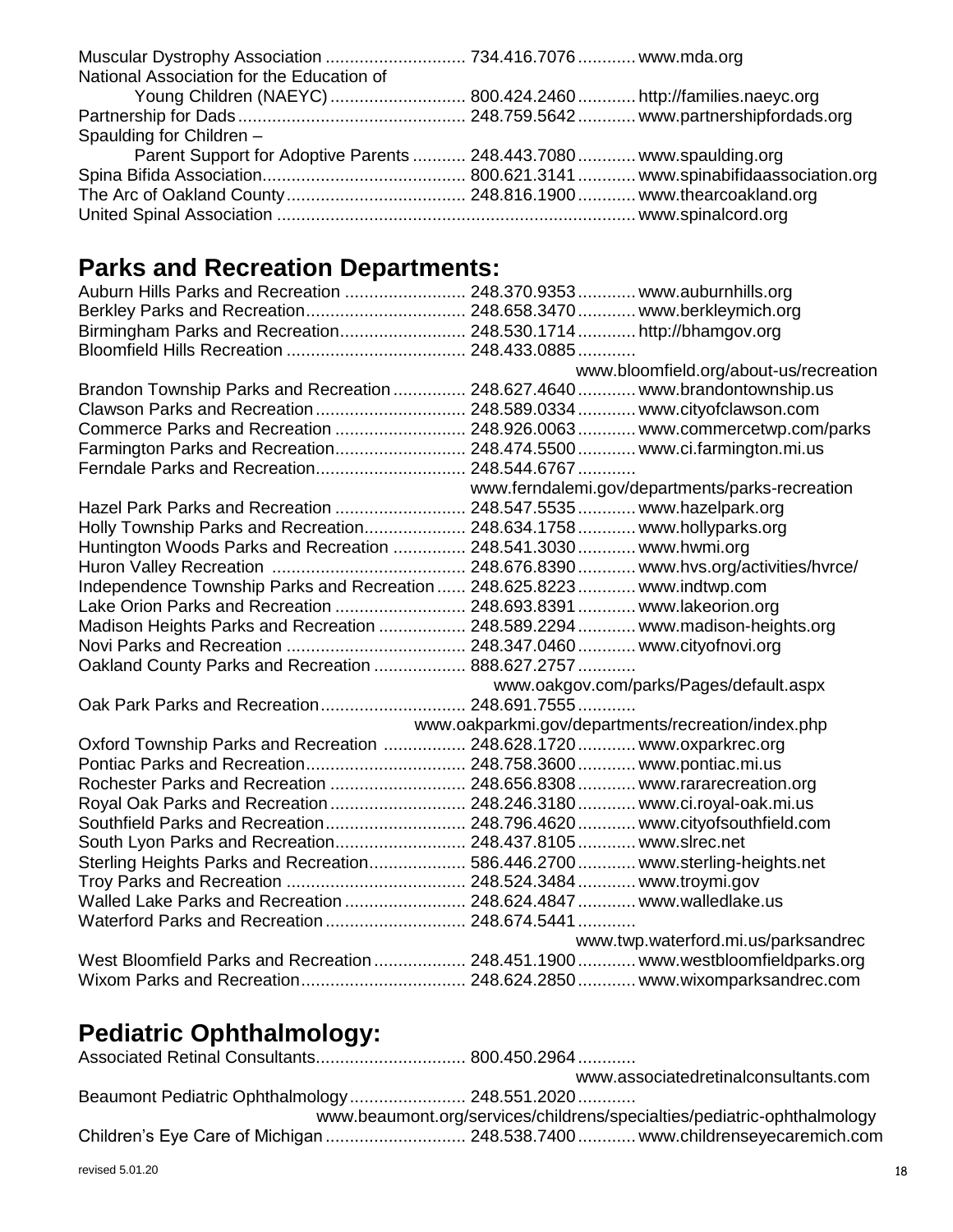## **Parks and Recreation Departments:**

| Auburn Hills Parks and Recreation  248.370.9353  www.auburnhills.org            |                                                    |
|---------------------------------------------------------------------------------|----------------------------------------------------|
| Berkley Parks and Recreation 248.658.3470 www.berkleymich.org                   |                                                    |
| Birmingham Parks and Recreation 248.530.1714http://bhamgov.org                  |                                                    |
|                                                                                 |                                                    |
|                                                                                 | www.bloomfield.org/about-us/recreation             |
| Brandon Township Parks and Recreation  248.627.4640  www.brandontownship.us     |                                                    |
| Clawson Parks and Recreation 248.589.0334 www.cityofclawson.com                 |                                                    |
| Commerce Parks and Recreation  248.926.0063  www.commercetwp.com/parks          |                                                    |
| Farmington Parks and Recreation 248.474.5500 www.ci.farmington.mi.us            |                                                    |
| Ferndale Parks and Recreation 248.544.6767                                      |                                                    |
|                                                                                 | www.ferndalemi.gov/departments/parks-recreation    |
| Hazel Park Parks and Recreation  248.547.5535  www.hazelpark.org                |                                                    |
| Holly Township Parks and Recreation 248.634.1758 www.hollyparks.org             |                                                    |
| Huntington Woods Parks and Recreation  248.541.3030  www.hwmi.org               |                                                    |
|                                                                                 |                                                    |
| Independence Township Parks and Recreation  248.625.8223  www.indtwp.com        |                                                    |
| Lake Orion Parks and Recreation  248.693.8391  www.lakeorion.org                |                                                    |
| Madison Heights Parks and Recreation  248.589.2294  www.madison-heights.org     |                                                    |
|                                                                                 |                                                    |
| Oakland County Parks and Recreation  888.627.2757                               |                                                    |
|                                                                                 | www.oakgov.com/parks/Pages/default.aspx            |
| Oak Park Parks and Recreation 248.691.7555                                      |                                                    |
|                                                                                 | www.oakparkmi.gov/departments/recreation/index.php |
| Oxford Township Parks and Recreation  248.628.1720  www.oxparkrec.org           |                                                    |
|                                                                                 |                                                    |
| Rochester Parks and Recreation  248.656.8308  www.rararecreation.org            |                                                    |
| Royal Oak Parks and Recreation  248.246.3180  www.ci.royal-oak.mi.us            |                                                    |
|                                                                                 |                                                    |
| South Lyon Parks and Recreation 248.437.8105 www.slrec.net                      |                                                    |
| Sterling Heights Parks and Recreation 586.446.2700 www.sterling-heights.net     |                                                    |
|                                                                                 |                                                    |
| Walled Lake Parks and Recreation  248.624.4847  www.walledlake.us               |                                                    |
| Waterford Parks and Recreation  248.674.5441                                    |                                                    |
|                                                                                 | www.twp.waterford.mi.us/parksandrec                |
| West Bloomfield Parks and Recreation  248.451.1900  www.westbloomfieldparks.org |                                                    |
|                                                                                 |                                                    |

## **Pediatric Ophthalmology:**

|                                               | www.associatedretinalconsultants.com                                    |
|-----------------------------------------------|-------------------------------------------------------------------------|
| Beaumont Pediatric Ophthalmology 248.551.2020 |                                                                         |
|                                               | www.beaumont.org/services/childrens/specialties/pediatric-ophthalmology |
|                                               |                                                                         |
|                                               |                                                                         |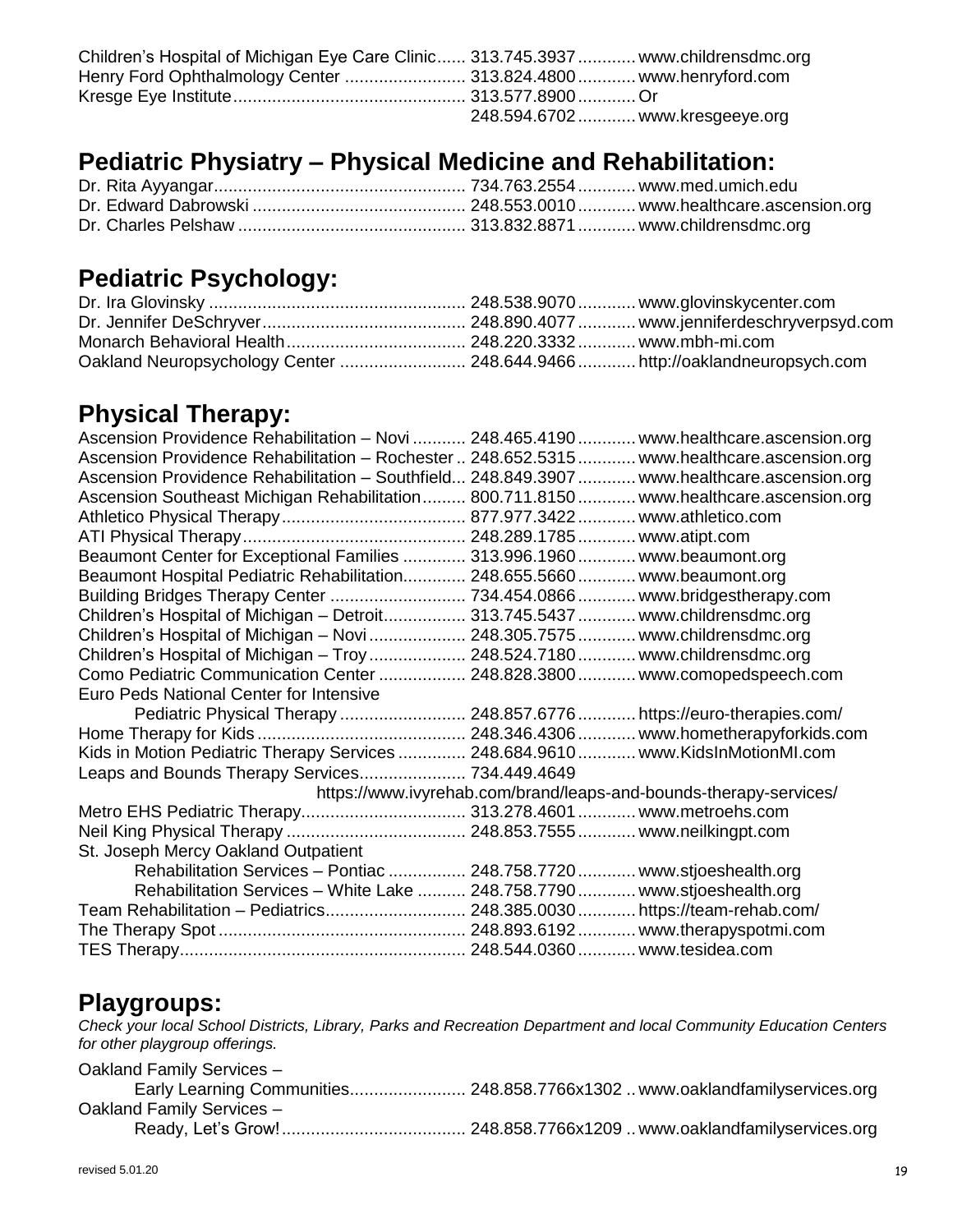| Children's Hospital of Michigan Eye Care Clinic 313.745.3937  www.childrensdmc.org |                                 |  |
|------------------------------------------------------------------------------------|---------------------------------|--|
|                                                                                    |                                 |  |
|                                                                                    |                                 |  |
|                                                                                    | 248.594.6702  www.kresgeeye.org |  |

#### **Pediatric Physiatry – Physical Medicine and Rehabilitation:**

## **Pediatric Psychology:**

| Oakland Neuropsychology Center  248.644.9466  http://oaklandneuropsych.com |  |
|----------------------------------------------------------------------------|--|

#### **Physical Therapy:**

| Ascension Providence Rehabilitation - Novi  248.465.4190  www.healthcare.ascension.org      |                                                                       |
|---------------------------------------------------------------------------------------------|-----------------------------------------------------------------------|
| Ascension Providence Rehabilitation - Rochester  248.652.5315  www.healthcare.ascension.org |                                                                       |
| Ascension Providence Rehabilitation - Southfield 248.849.3907  www.healthcare.ascension.org |                                                                       |
| Ascension Southeast Michigan Rehabilitation 800.711.8150 www.healthcare.ascension.org       |                                                                       |
|                                                                                             |                                                                       |
|                                                                                             |                                                                       |
| Beaumont Center for Exceptional Families  313.996.1960  www.beaumont.org                    |                                                                       |
| Beaumont Hospital Pediatric Rehabilitation 248.655.5660 www.beaumont.org                    |                                                                       |
| Building Bridges Therapy Center  734.454.0866  www.bridgestherapy.com                       |                                                                       |
| Children's Hospital of Michigan - Detroit 313.745.5437  www.childrensdmc.org                |                                                                       |
| Children's Hospital of Michigan - Novi  248.305.7575  www.childrensdmc.org                  |                                                                       |
| Children's Hospital of Michigan - Troy  248.524.7180  www.childrensdmc.org                  |                                                                       |
| Como Pediatric Communication Center  248.828.3800  www.comopedspeech.com                    |                                                                       |
| Euro Peds National Center for Intensive                                                     |                                                                       |
|                                                                                             | Pediatric Physical Therapy  248.857.6776  https://euro-therapies.com/ |
|                                                                                             |                                                                       |
| Kids in Motion Pediatric Therapy Services  248.684.9610  www.KidsInMotionMI.com             |                                                                       |
| Leaps and Bounds Therapy Services 734.449.4649                                              |                                                                       |
|                                                                                             | https://www.ivyrehab.com/brand/leaps-and-bounds-therapy-services/     |
| Metro EHS Pediatric Therapy 313.278.4601  www.metroehs.com                                  |                                                                       |
|                                                                                             |                                                                       |
| St. Joseph Mercy Oakland Outpatient                                                         |                                                                       |
| Rehabilitation Services - Pontiac  248.758.7720  www.stjoeshealth.org                       |                                                                       |
| Rehabilitation Services - White Lake  248.758.7790  www.stjoeshealth.org                    |                                                                       |
| Team Rehabilitation - Pediatrics 248.385.0030 https://team-rehab.com/                       |                                                                       |
|                                                                                             |                                                                       |
|                                                                                             |                                                                       |

#### **Playgroups:**

*Check your local School Districts, Library, Parks and Recreation Department and local Community Education Centers for other playgroup offerings.*

| Oakland Family Services - |  |
|---------------------------|--|
|                           |  |
| Oakland Family Services - |  |
|                           |  |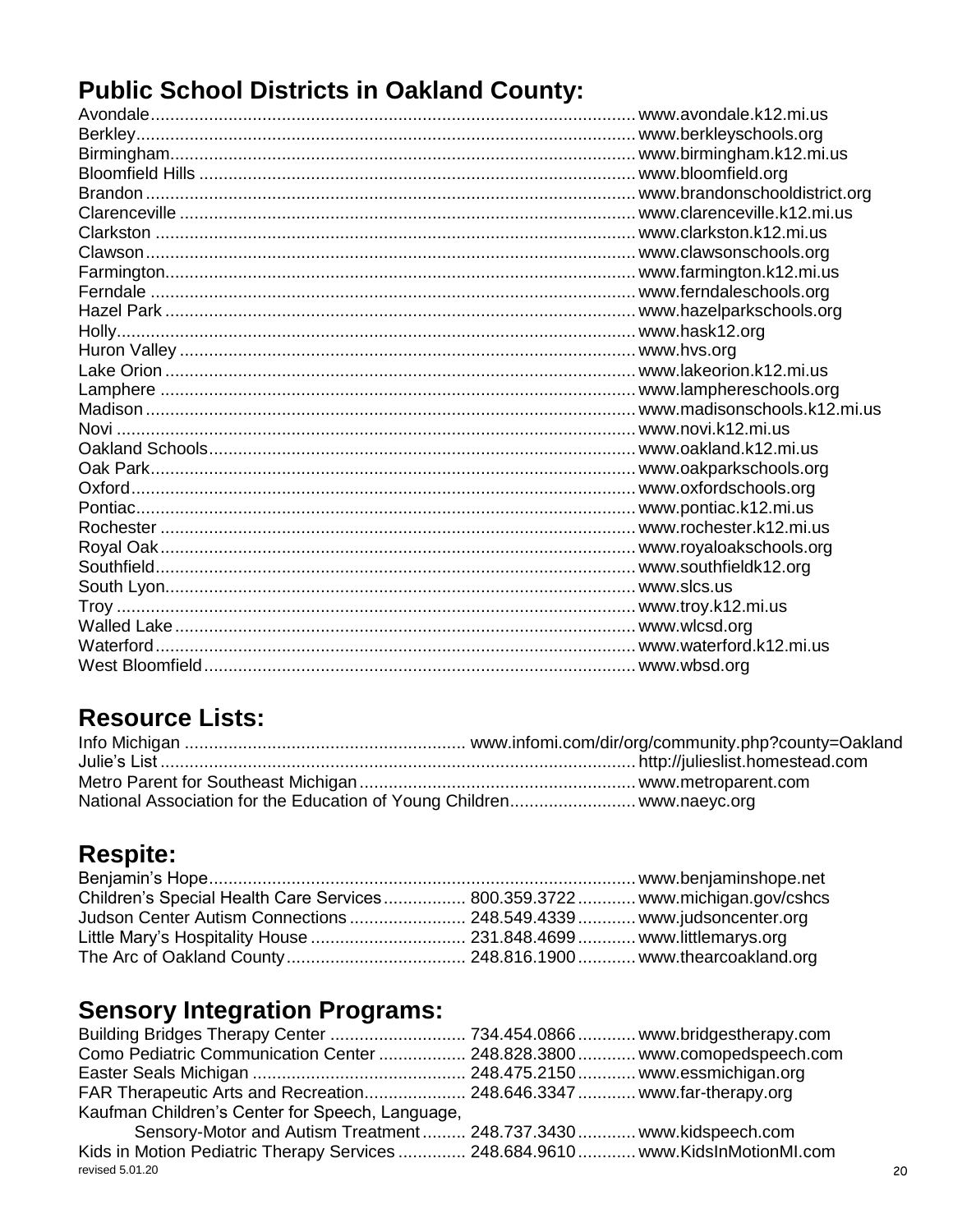## **Public School Districts in Oakland County:**

## **Resource Lists:**

| National Association for the Education of Young Children www.naeyc.org |  |
|------------------------------------------------------------------------|--|

## **Respite:**

| Children's Special Health Care Services  800.359.3722  www.michigan.gov/cshcs |  |
|-------------------------------------------------------------------------------|--|
| Judson Center Autism Connections  248.549.4339  www.judsoncenter.org          |  |
|                                                                               |  |
|                                                                               |  |

## **Sensory Integration Programs:**

| Como Pediatric Communication Center  248.828.3800  www.comopedspeech.com        |  |    |
|---------------------------------------------------------------------------------|--|----|
|                                                                                 |  |    |
| FAR Therapeutic Arts and Recreation 248.646.3347 www.far-therapy.org            |  |    |
| Kaufman Children's Center for Speech, Language,                                 |  |    |
| Sensory-Motor and Autism Treatment 248.737.3430 www.kidspeech.com               |  |    |
| Kids in Motion Pediatric Therapy Services  248.684.9610  www.KidsInMotionMI.com |  |    |
| revised 5.01.20                                                                 |  | 20 |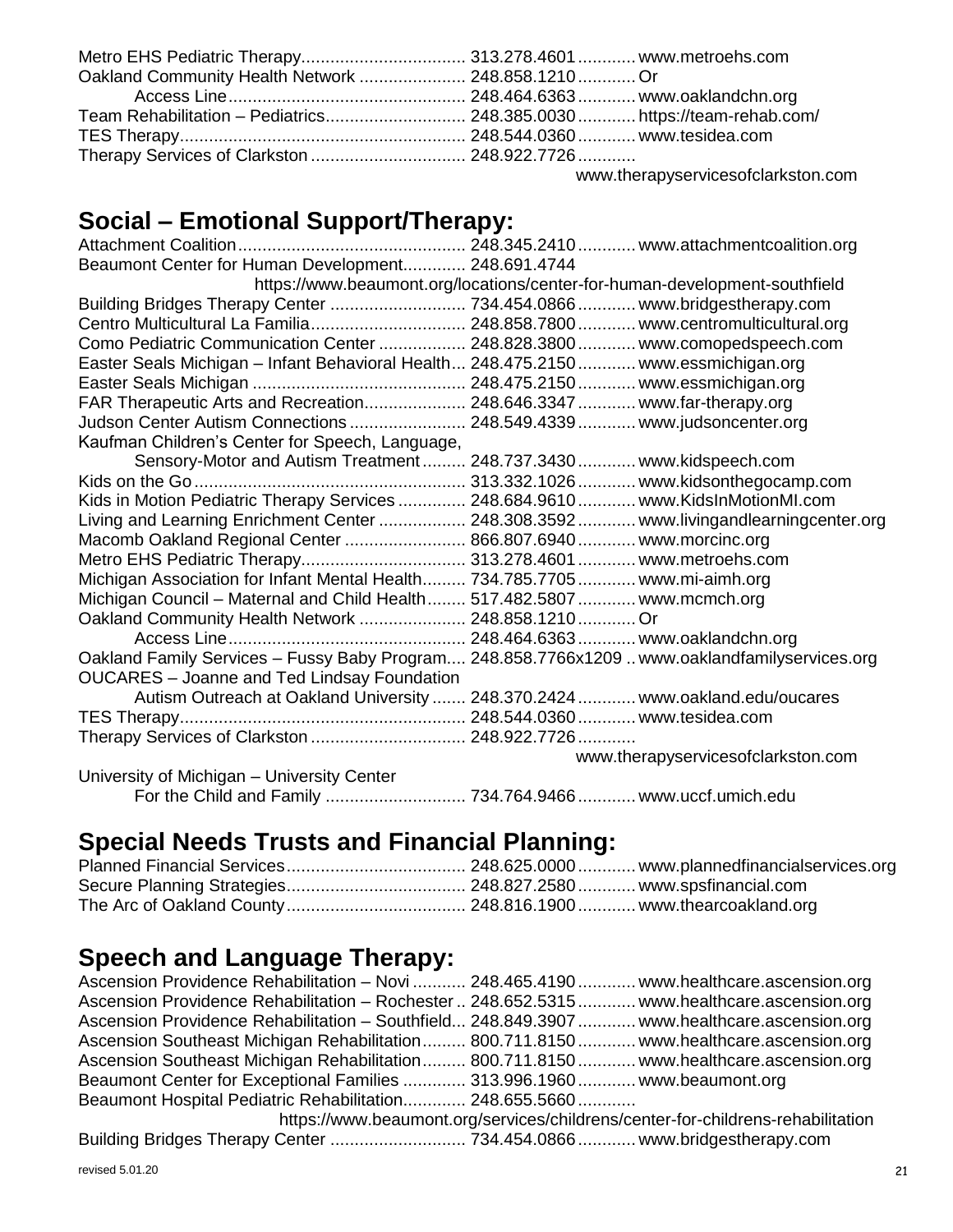| Oakland Community Health Network  248.858.1210  Or |                                       |
|----------------------------------------------------|---------------------------------------|
|                                                    |                                       |
|                                                    |                                       |
|                                                    |                                       |
| Therapy Services of Clarkston  248.922.7726        |                                       |
|                                                    | usuu thexenyees ieeeefelesleptee eess |

[www.therapyservicesofclarkston.com](http://www.therapyservicesofclarkston.com/)

## **Social – Emotional Support/Therapy:**

| Beaumont Center for Human Development 248.691.4744                                |                                                                                               |
|-----------------------------------------------------------------------------------|-----------------------------------------------------------------------------------------------|
|                                                                                   | https://www.beaumont.org/locations/center-for-human-development-southfield                    |
|                                                                                   |                                                                                               |
| Centro Multicultural La Familia 248.858.7800 www.centromulticultural.org          |                                                                                               |
| Como Pediatric Communication Center  248.828.3800  www.comopedspeech.com          |                                                                                               |
| Easter Seals Michigan - Infant Behavioral Health 248.475.2150 www.essmichigan.org |                                                                                               |
|                                                                                   |                                                                                               |
| FAR Therapeutic Arts and Recreation 248.646.3347 www.far-therapy.org              |                                                                                               |
| Judson Center Autism Connections  248.549.4339  www.judsoncenter.org              |                                                                                               |
| Kaufman Children's Center for Speech, Language,                                   |                                                                                               |
| Sensory-Motor and Autism Treatment 248.737.3430 www.kidspeech.com                 |                                                                                               |
|                                                                                   |                                                                                               |
| Kids in Motion Pediatric Therapy Services  248.684.9610  www.KidsInMotionMI.com   |                                                                                               |
|                                                                                   | Living and Learning Enrichment Center  248.308.3592  www.livingandlearningcenter.org          |
| Macomb Oakland Regional Center  866.807.6940  www.morcinc.org                     |                                                                                               |
| Metro EHS Pediatric Therapy 313.278.4601 www.metroehs.com                         |                                                                                               |
| Michigan Association for Infant Mental Health 734.785.7705 www.mi-aimh.org        |                                                                                               |
| Michigan Council - Maternal and Child Health 517.482.5807 www.mcmch.org           |                                                                                               |
| Oakland Community Health Network  248.858.1210  Or                                |                                                                                               |
|                                                                                   |                                                                                               |
|                                                                                   | Oakland Family Services - Fussy Baby Program 248.858.7766x1209  www.oaklandfamilyservices.org |
| <b>OUCARES</b> - Joanne and Ted Lindsay Foundation                                |                                                                                               |
|                                                                                   | Autism Outreach at Oakland University  248.370.2424  www.oakland.edu/oucares                  |
|                                                                                   |                                                                                               |
| Therapy Services of Clarkston  248.922.7726                                       |                                                                                               |
|                                                                                   | www.therapyservicesofclarkston.com                                                            |
| University of Michigan - University Center                                        |                                                                                               |
|                                                                                   | For the Child and Family  734.764.9466  www.uccf.umich.edu                                    |

## **Special Needs Trusts and Financial Planning:**

## **Speech and Language Therapy:**

| Ascension Providence Rehabilitation - Novi  248.465.4190  www.healthcare.ascension.org      |  |  |  |  |
|---------------------------------------------------------------------------------------------|--|--|--|--|
| Ascension Providence Rehabilitation - Rochester  248.652.5315  www.healthcare.ascension.org |  |  |  |  |
| Ascension Providence Rehabilitation - Southfield 248.849.3907  www.healthcare.ascension.org |  |  |  |  |
| Ascension Southeast Michigan Rehabilitation 800.711.8150 www.healthcare.ascension.org       |  |  |  |  |
| Ascension Southeast Michigan Rehabilitation 800.711.8150 www.healthcare.ascension.org       |  |  |  |  |
| Beaumont Center for Exceptional Families  313.996.1960 www.beaumont.org                     |  |  |  |  |
| Beaumont Hospital Pediatric Rehabilitation 248.655.5660                                     |  |  |  |  |
| https://www.beaumont.org/services/childrens/center-for-childrens-rehabilitation             |  |  |  |  |
|                                                                                             |  |  |  |  |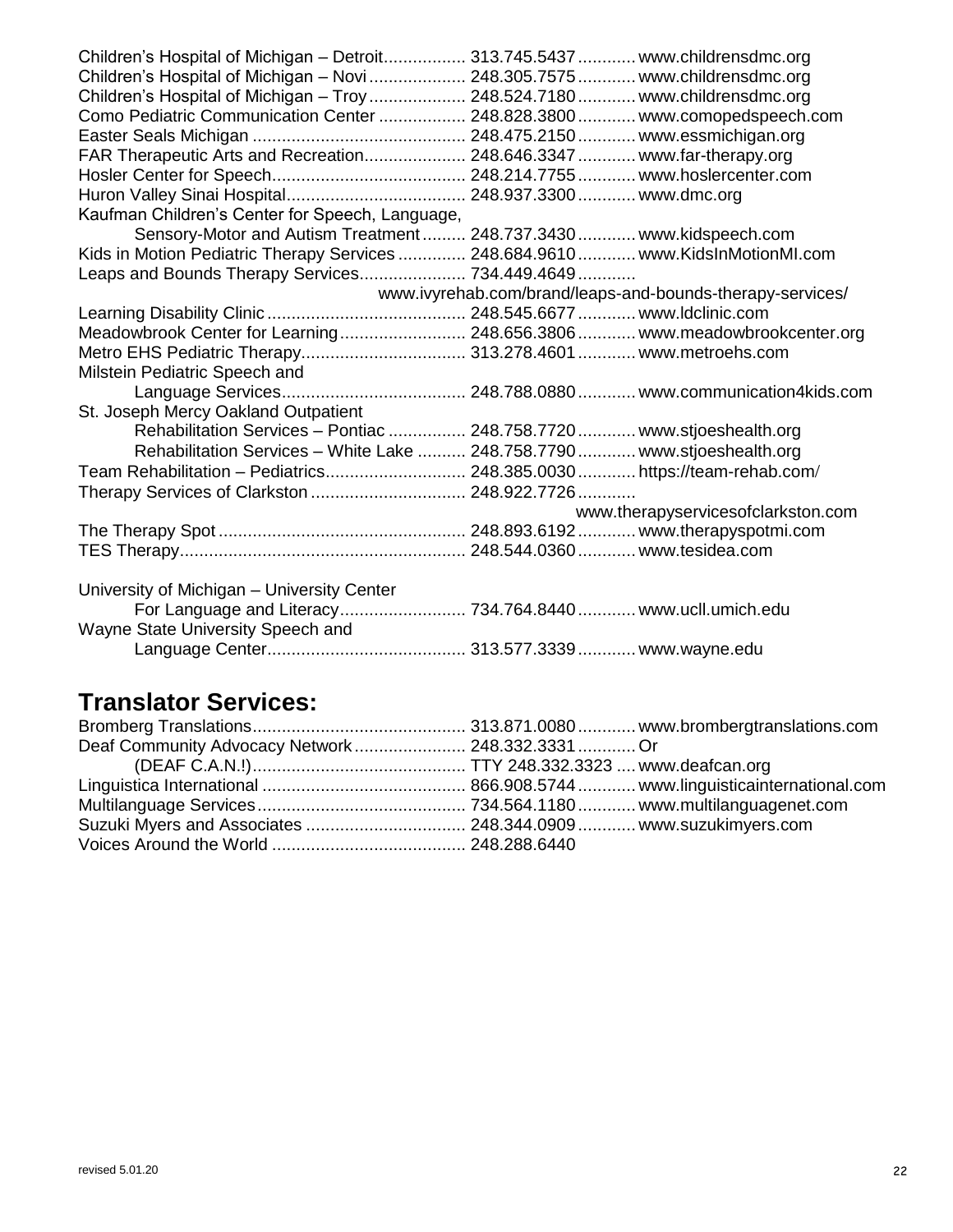| Children's Hospital of Michigan - Detroit 313.745.5437  www.childrensdmc.org    |  |                                    |  |  |
|---------------------------------------------------------------------------------|--|------------------------------------|--|--|
| Children's Hospital of Michigan - Novi  248.305.7575  www.childrensdmc.org      |  |                                    |  |  |
| Children's Hospital of Michigan - Troy  248.524.7180  www.childrensdmc.org      |  |                                    |  |  |
| Como Pediatric Communication Center  248.828.3800  www.comopedspeech.com        |  |                                    |  |  |
|                                                                                 |  |                                    |  |  |
| FAR Therapeutic Arts and Recreation 248.646.3347  www.far-therapy.org           |  |                                    |  |  |
|                                                                                 |  |                                    |  |  |
|                                                                                 |  |                                    |  |  |
| Kaufman Children's Center for Speech, Language,                                 |  |                                    |  |  |
| Sensory-Motor and Autism Treatment 248.737.3430 www.kidspeech.com               |  |                                    |  |  |
| Kids in Motion Pediatric Therapy Services  248.684.9610  www.KidsInMotionMI.com |  |                                    |  |  |
| Leaps and Bounds Therapy Services 734.449.4649                                  |  |                                    |  |  |
| www.ivyrehab.com/brand/leaps-and-bounds-therapy-services/                       |  |                                    |  |  |
|                                                                                 |  |                                    |  |  |
| Meadowbrook Center for Learning 248.656.3806 www.meadowbrookcenter.org          |  |                                    |  |  |
| Metro EHS Pediatric Therapy 313.278.4601 www.metroehs.com                       |  |                                    |  |  |
| Milstein Pediatric Speech and                                                   |  |                                    |  |  |
|                                                                                 |  |                                    |  |  |
| St. Joseph Mercy Oakland Outpatient                                             |  |                                    |  |  |
| Rehabilitation Services - Pontiac  248.758.7720  www.stjoeshealth.org           |  |                                    |  |  |
| Rehabilitation Services - White Lake  248.758.7790  www.stjoeshealth.org        |  |                                    |  |  |
| Team Rehabilitation - Pediatrics 248.385.0030 https://team-rehab.com/           |  |                                    |  |  |
|                                                                                 |  |                                    |  |  |
|                                                                                 |  | www.therapyservicesofclarkston.com |  |  |
|                                                                                 |  |                                    |  |  |
|                                                                                 |  |                                    |  |  |
|                                                                                 |  |                                    |  |  |
| University of Michigan - University Center                                      |  |                                    |  |  |
| For Language and Literacy 734.764.8440 www.ucll.umich.edu                       |  |                                    |  |  |
| Wayne State University Speech and                                               |  |                                    |  |  |
|                                                                                 |  |                                    |  |  |
|                                                                                 |  |                                    |  |  |

## **Translator Services:**

| Deaf Community Advocacy Network 248.332.3331 Or |  |
|-------------------------------------------------|--|
|                                                 |  |
|                                                 |  |
|                                                 |  |
|                                                 |  |
|                                                 |  |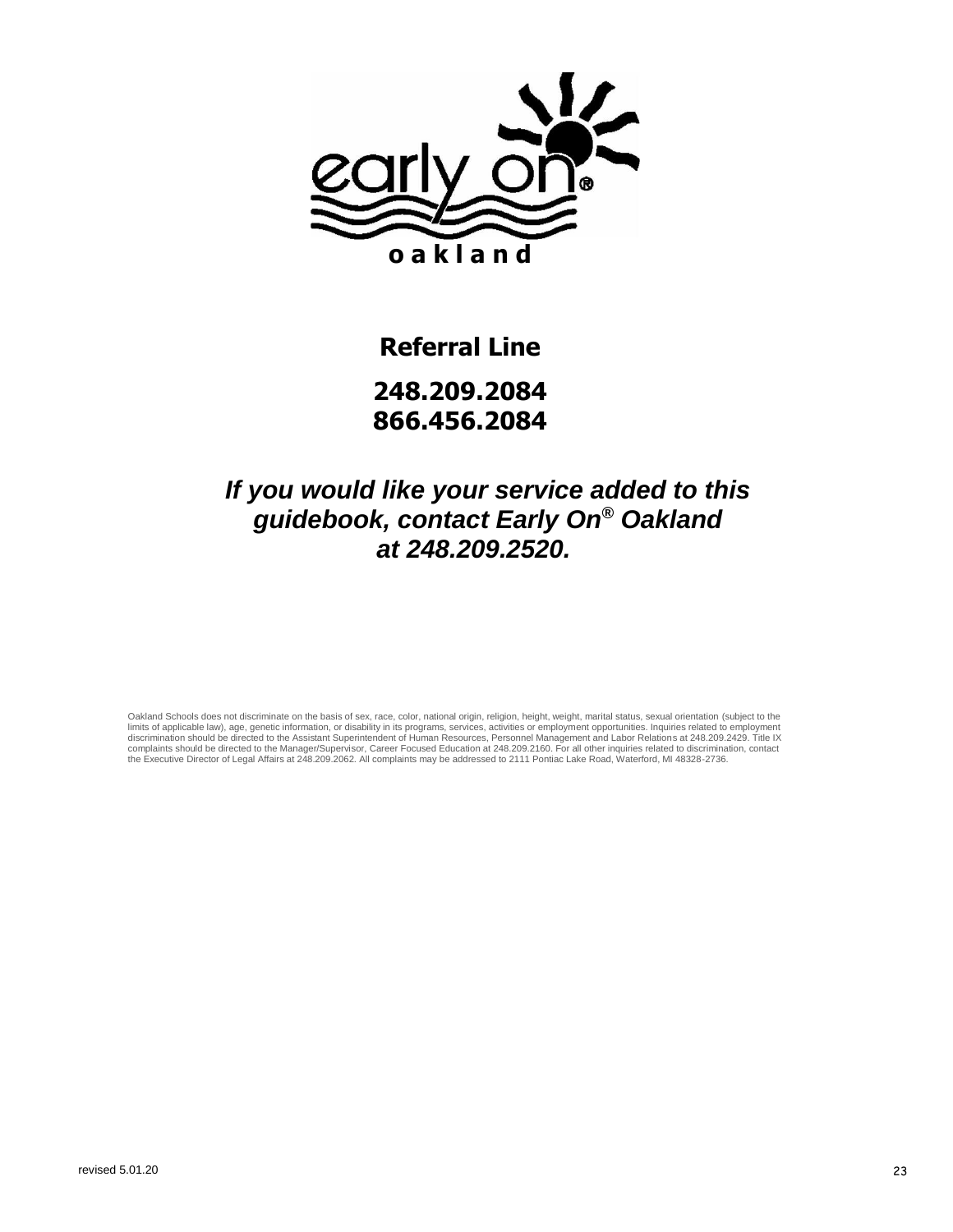

## **Referral Line 248.209.2084 866.456.2084**

#### *If you would like your service added to this guidebook, contact Early On® Oakland at 248.209.2520.*

Oakland Schools does not discriminate on the basis of sex, race, color, national origin, religion, height, weight, marital status, sexual orientation (subject to the<br>limits of applicable law), age, genetic information, or the Executive Director of Legal Affairs at 248.209.2062. All complaints may be addressed to 2111 Pontiac Lake Road, Waterford, MI 48328-2736.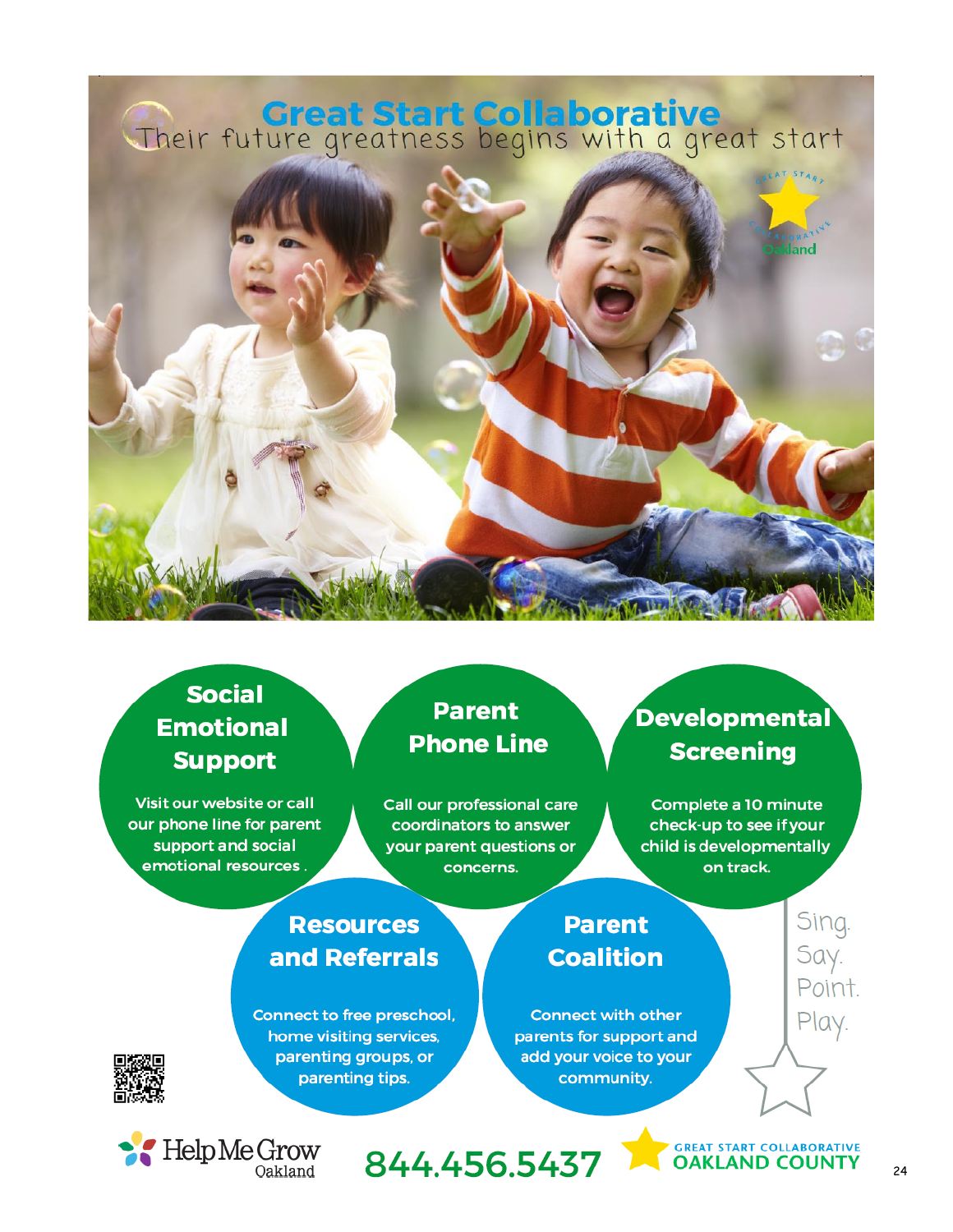# Their future greatness begins with a great start



## **Social Emotional Support**

Visit our website or call our phone line for parent support and social emotional resources

#### **Parent Phone Line**

Call our professional care coordinators to answer your parent questions or concerns.

## **Resources** and Referrals

Connect to free preschool, home visiting services, parenting groups, or parenting tips.

## Developmental **Screening**

Complete a 10 minute check-up to see if your child is developmentally on track.

Sing.

Say.

Point.

Play.

#### **Parent Coalition**

**Connect with other** parents for support and add your voice to your community.



**GREAT START COLLABORATIVE**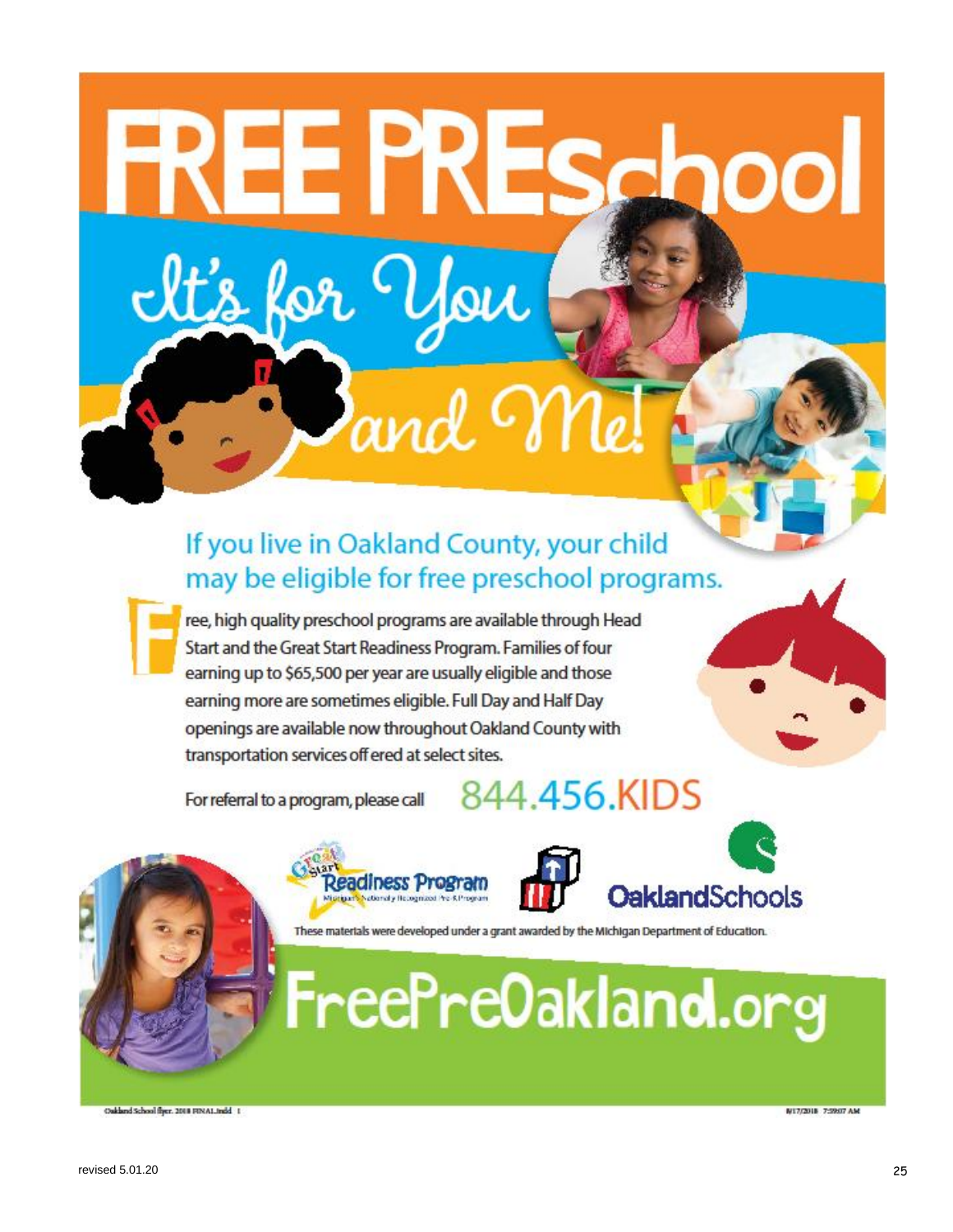# If you live in Oakland County, your child may be eligible for free preschool programs.

.<br>oil

ree, high quality preschool programs are available through Head Start and the Great Start Readiness Program. Families of four earning up to \$65,500 per year are usually eligible and those earning more are sometimes eligible. Full Day and Half Day openings are available now throughout Oakland County with transportation services off ered at select sites.

E PRE

For referral to a program, please call

kor

# 844.456.KIDS



eadiness Program





These materials were developed under a grant awarded by the Michigan Department of Education.

Oakland School fiyer, 2018 FINAL Indd 1

**M17/2018 7:59:07 AM**